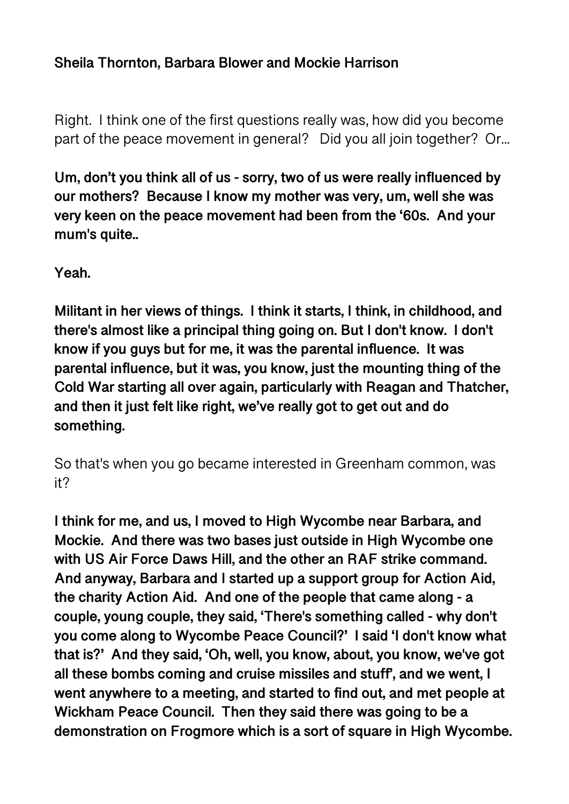#### **Sheila Thornton, Barbara Blower and Mockie Harrison**

Right. I think one of the first questions really was, how did you become part of the peace movement in general? Did you all join together? Or...

**Um, don't you think all of us - sorry, two of us were really influenced by our mothers? Because I know my mother was very, um, well she was very keen on the peace movement had been from the '60s. And your mum's quite..** 

**Yeah.** 

**Militant in her views of things. I think it starts, I think, in childhood, and there's almost like a principal thing going on. But I don't know. I don't know if you guys but for me, it was the parental influence. It was parental influence, but it was, you know, just the mounting thing of the Cold War starting all over again, particularly with Reagan and Thatcher, and then it just felt like right, we've really got to get out and do something.** 

So that's when you go became interested in Greenham common, was it?

**I think for me, and us, I moved to High Wycombe near Barbara, and Mockie. And there was two bases just outside in High Wycombe one with US Air Force Daws Hill, and the other an RAF strike command. And anyway, Barbara and I started up a support group for Action Aid, the charity Action Aid. And one of the people that came along - a couple, young couple, they said, 'There's something called - why don't you come along to Wycombe Peace Council?' I said 'I don't know what that is?' And they said, 'Oh, well, you know, about, you know, we've got all these bombs coming and cruise missiles and stuff', and we went, I went anywhere to a meeting, and started to find out, and met people at Wickham Peace Council. Then they said there was going to be a demonstration on Frogmore which is a sort of square in High Wycombe.**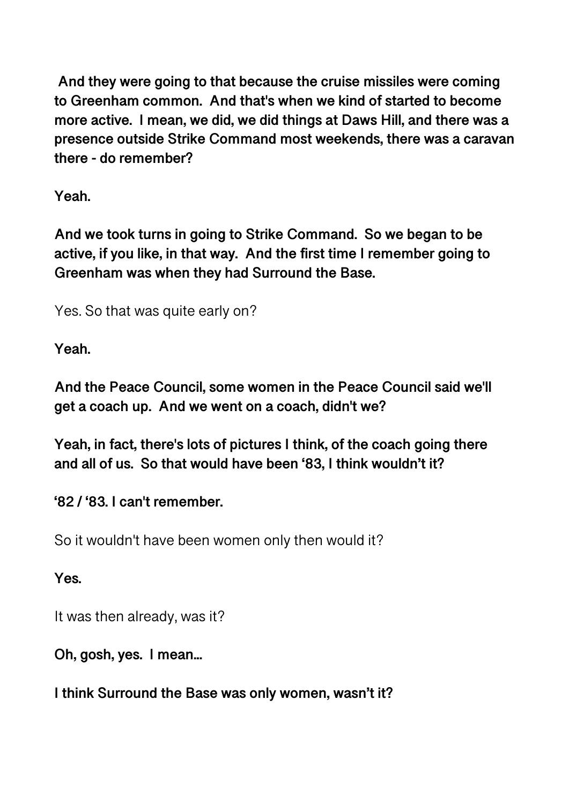**And they were going to that because the cruise missiles were coming to Greenham common. And that's when we kind of started to become more active. I mean, we did, we did things at Daws Hill, and there was a presence outside Strike Command most weekends, there was a caravan there - do remember?** 

**Yeah.** 

**And we took turns in going to Strike Command. So we began to be active, if you like, in that way. And the first time I remember going to Greenham was when they had Surround the Base.** 

Yes. So that was quite early on?

**Yeah.** 

**And the Peace Council, some women in the Peace Council said we'll get a coach up. And we went on a coach, didn't we?** 

**Yeah, in fact, there's lots of pictures I think, of the coach going there and all of us. So that would have been '83, I think wouldn't it?** 

**'82 / '83. I can't remember.** 

So it wouldn't have been women only then would it?

**Yes.** 

It was then already, was it?

**Oh, gosh, yes. I mean...** 

**I think Surround the Base was only women, wasn't it?**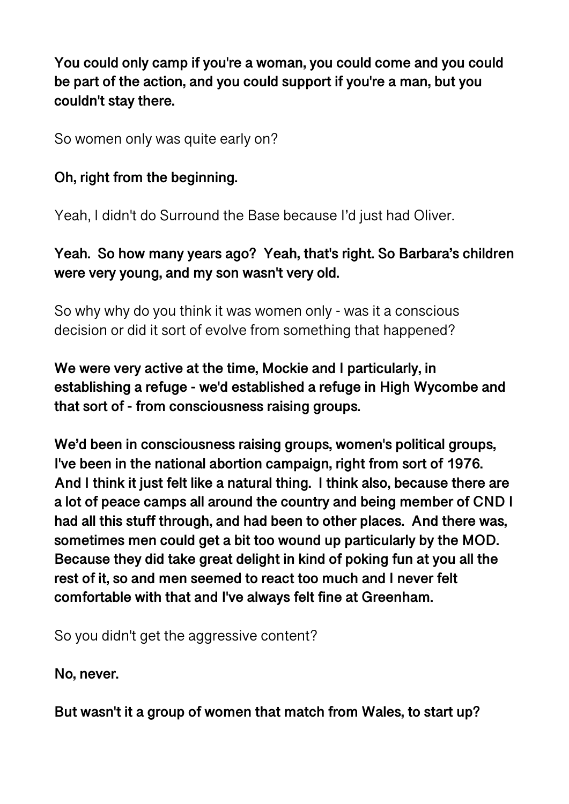**You could only camp if you're a woman, you could come and you could be part of the action, and you could support if you're a man, but you couldn't stay there.** 

So women only was quite early on?

## **Oh, right from the beginning.**

Yeah, I didn't do Surround the Base because I'd just had Oliver.

## **Yeah. So how many years ago? Yeah, that's right. So Barbara's children were very young, and my son wasn't very old.**

So why why do you think it was women only - was it a conscious decision or did it sort of evolve from something that happened?

**We were very active at the time, Mockie and I particularly, in establishing a refuge - we'd established a refuge in High Wycombe and that sort of - from consciousness raising groups.** 

**We'd been in consciousness raising groups, women's political groups, I've been in the national abortion campaign, right from sort of 1976. And I think it just felt like a natural thing. I think also, because there are a lot of peace camps all around the country and being member of CND I had all this stuff through, and had been to other places. And there was, sometimes men could get a bit too wound up particularly by the MOD. Because they did take great delight in kind of poking fun at you all the rest of it, so and men seemed to react too much and I never felt comfortable with that and I've always felt fine at Greenham.** 

So you didn't get the aggressive content?

**No, never.** 

**But wasn't it a group of women that match from Wales, to start up?**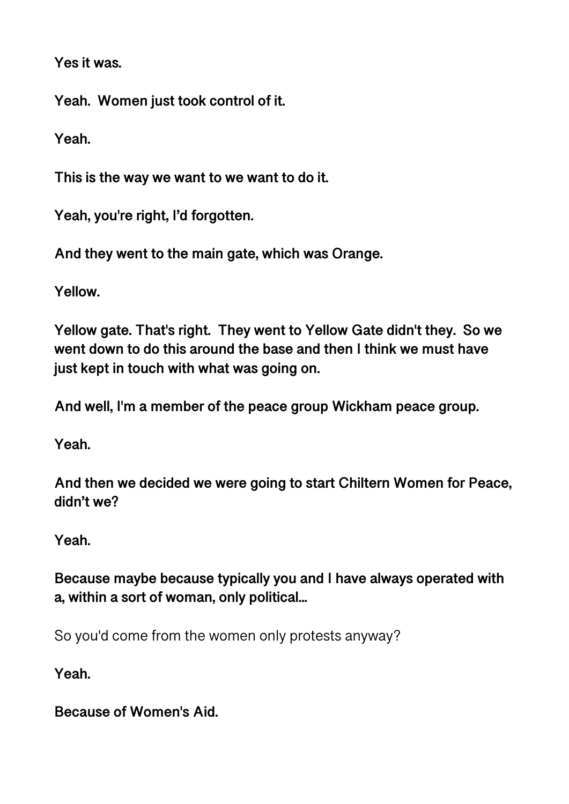**Yes it was.** 

**Yeah. Women just took control of it.** 

**Yeah.** 

**This is the way we want to we want to do it.** 

**Yeah, you're right, I'd forgotten.** 

**And they went to the main gate, which was Orange.** 

**Yellow.** 

**Yellow gate. That's right. They went to Yellow Gate didn't they. So we went down to do this around the base and then I think we must have just kept in touch with what was going on.** 

**And well, I'm a member of the peace group Wickham peace group.** 

**Yeah.** 

**And then we decided we were going to start Chiltern Women for Peace, didn't we?** 

**Yeah.** 

**Because maybe because typically you and I have always operated with a, within a sort of woman, only political...** 

So you'd come from the women only protests anyway?

**Yeah.** 

**Because of Women's Aid.**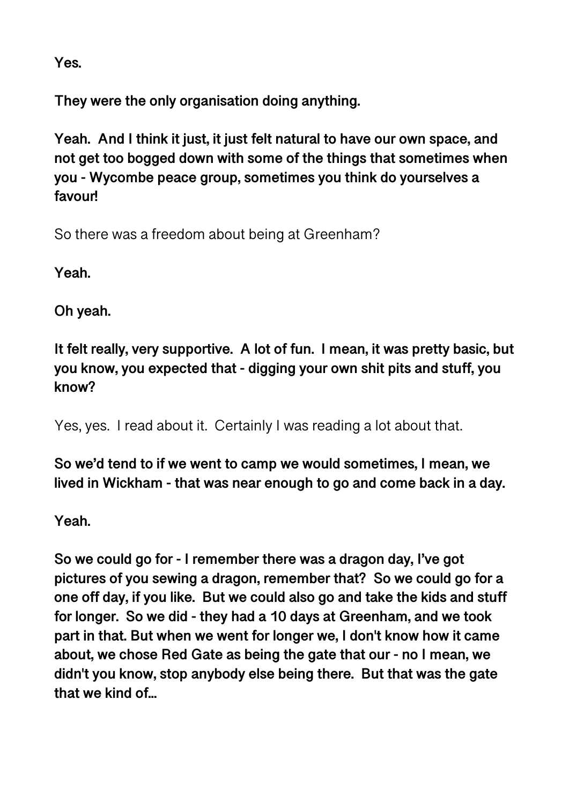**Yes.** 

**They were the only organisation doing anything.** 

**Yeah. And I think it just, it just felt natural to have our own space, and not get too bogged down with some of the things that sometimes when you - Wycombe peace group, sometimes you think do yourselves a favour!** 

So there was a freedom about being at Greenham?

**Yeah.** 

**Oh yeah.** 

**It felt really, very supportive. A lot of fun. I mean, it was pretty basic, but you know, you expected that - digging your own shit pits and stuff, you know?** 

Yes, yes. I read about it. Certainly I was reading a lot about that.

**So we'd tend to if we went to camp we would sometimes, I mean, we lived in Wickham - that was near enough to go and come back in a day.** 

**Yeah.** 

**So we could go for - I remember there was a dragon day, I've got pictures of you sewing a dragon, remember that? So we could go for a one off day, if you like. But we could also go and take the kids and stuff for longer. So we did - they had a 10 days at Greenham, and we took part in that. But when we went for longer we, I don't know how it came about, we chose Red Gate as being the gate that our - no I mean, we didn't you know, stop anybody else being there. But that was the gate that we kind of...**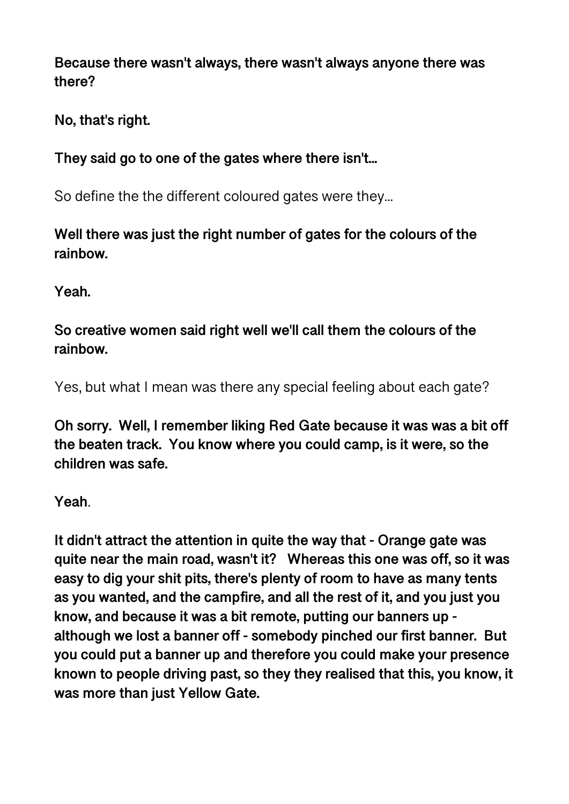**Because there wasn't always, there wasn't always anyone there was there?** 

**No, that's right.** 

**They said go to one of the gates where there isn't...** 

So define the the different coloured gates were they...

**Well there was just the right number of gates for the colours of the rainbow.** 

**Yeah.** 

**So creative women said right well we'll call them the colours of the rainbow.** 

Yes, but what I mean was there any special feeling about each gate?

**Oh sorry. Well, I remember liking Red Gate because it was was a bit off the beaten track. You know where you could camp, is it were, so the children was safe.** 

**Yeah**.

**It didn't attract the attention in quite the way that - Orange gate was quite near the main road, wasn't it? Whereas this one was off, so it was easy to dig your shit pits, there's plenty of room to have as many tents as you wanted, and the campfire, and all the rest of it, and you just you know, and because it was a bit remote, putting our banners up although we lost a banner off - somebody pinched our first banner. But you could put a banner up and therefore you could make your presence known to people driving past, so they they realised that this, you know, it was more than just Yellow Gate.**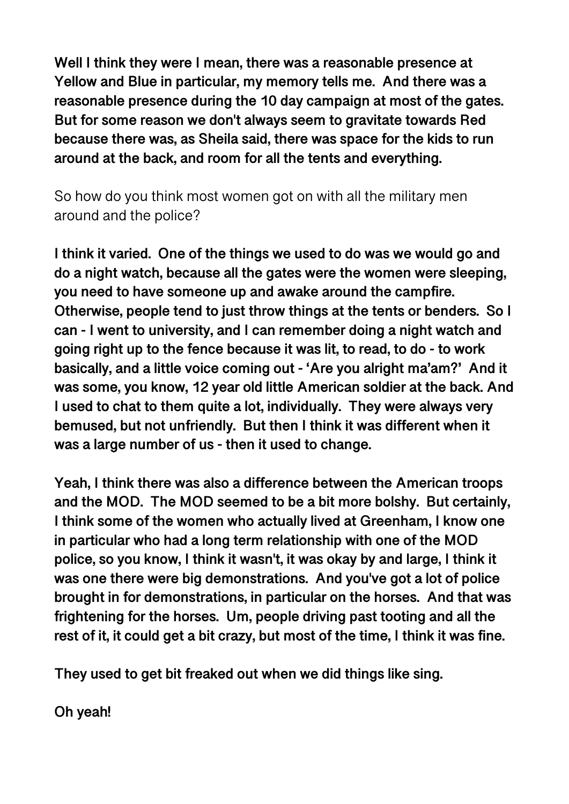**Well I think they were I mean, there was a reasonable presence at Yellow and Blue in particular, my memory tells me. And there was a reasonable presence during the 10 day campaign at most of the gates. But for some reason we don't always seem to gravitate towards Red because there was, as Sheila said, there was space for the kids to run around at the back, and room for all the tents and everything.** 

So how do you think most women got on with all the military men around and the police?

**I think it varied. One of the things we used to do was we would go and do a night watch, because all the gates were the women were sleeping, you need to have someone up and awake around the campfire. Otherwise, people tend to just throw things at the tents or benders. So I can - I went to university, and I can remember doing a night watch and going right up to the fence because it was lit, to read, to do - to work basically, and a little voice coming out - 'Are you alright ma'am?' And it was some, you know, 12 year old little American soldier at the back. And I used to chat to them quite a lot, individually. They were always very bemused, but not unfriendly. But then I think it was different when it was a large number of us - then it used to change.** 

**Yeah, I think there was also a difference between the American troops and the MOD. The MOD seemed to be a bit more bolshy. But certainly, I think some of the women who actually lived at Greenham, I know one in particular who had a long term relationship with one of the MOD police, so you know, I think it wasn't, it was okay by and large, I think it was one there were big demonstrations. And you've got a lot of police brought in for demonstrations, in particular on the horses. And that was frightening for the horses. Um, people driving past tooting and all the rest of it, it could get a bit crazy, but most of the time, I think it was fine.** 

**They used to get bit freaked out when we did things like sing.** 

**Oh yeah!**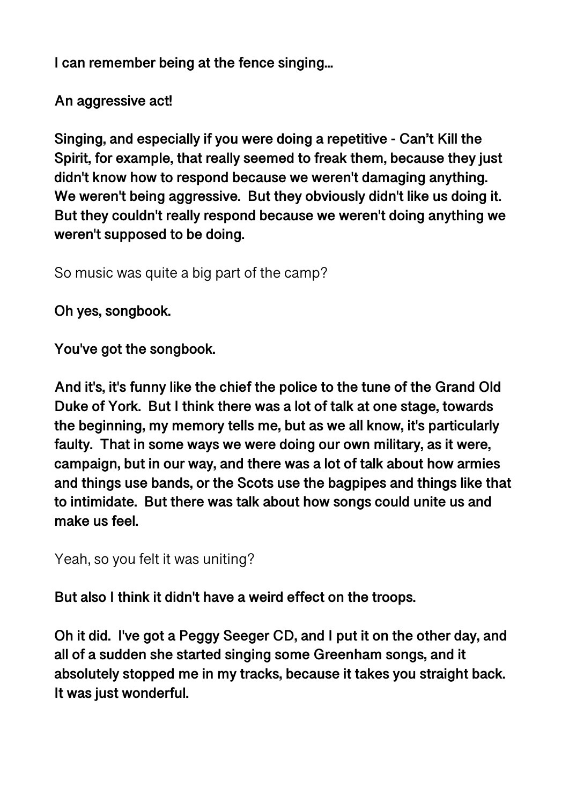**I can remember being at the fence singing...** 

**An aggressive act!** 

**Singing, and especially if you were doing a repetitive - Can't Kill the Spirit, for example, that really seemed to freak them, because they just didn't know how to respond because we weren't damaging anything. We weren't being aggressive. But they obviously didn't like us doing it. But they couldn't really respond because we weren't doing anything we weren't supposed to be doing.** 

So music was quite a big part of the camp?

**Oh yes, songbook.** 

**You've got the songbook.** 

**And it's, it's funny like the chief the police to the tune of the Grand Old Duke of York. But I think there was a lot of talk at one stage, towards the beginning, my memory tells me, but as we all know, it's particularly faulty. That in some ways we were doing our own military, as it were, campaign, but in our way, and there was a lot of talk about how armies and things use bands, or the Scots use the bagpipes and things like that to intimidate. But there was talk about how songs could unite us and make us feel.** 

Yeah, so you felt it was uniting?

**But also I think it didn't have a weird effect on the troops.** 

**Oh it did. I've got a Peggy Seeger CD, and I put it on the other day, and all of a sudden she started singing some Greenham songs, and it absolutely stopped me in my tracks, because it takes you straight back. It was just wonderful.**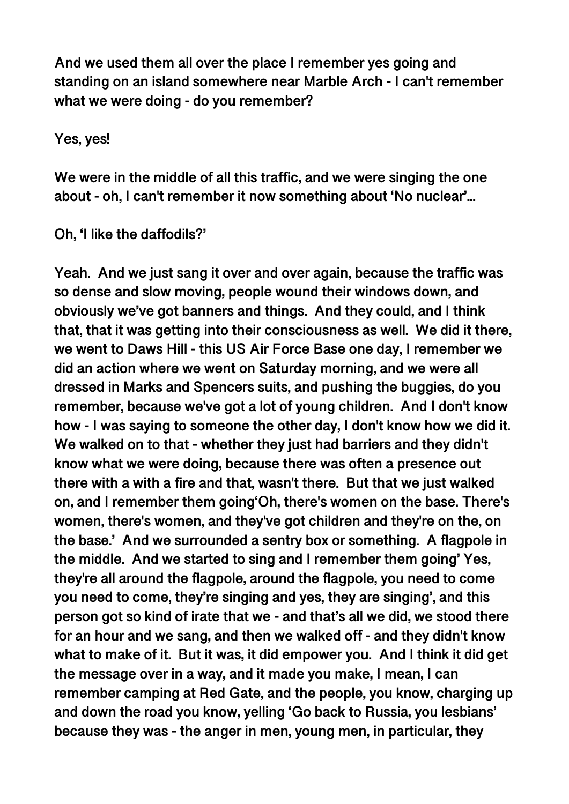**And we used them all over the place I remember yes going and standing on an island somewhere near Marble Arch - I can't remember what we were doing - do you remember?** 

**Yes, yes!** 

**We were in the middle of all this traffic, and we were singing the one about - oh, I can't remember it now something about 'No nuclear'...** 

**Oh, 'I like the daffodils?'** 

**Yeah. And we just sang it over and over again, because the traffic was so dense and slow moving, people wound their windows down, and obviously we've got banners and things. And they could, and I think that, that it was getting into their consciousness as well. We did it there, we went to Daws Hill - this US Air Force Base one day, I remember we did an action where we went on Saturday morning, and we were all dressed in Marks and Spencers suits, and pushing the buggies, do you remember, because we've got a lot of young children. And I don't know how - I was saying to someone the other day, I don't know how we did it. We walked on to that - whether they just had barriers and they didn't know what we were doing, because there was often a presence out there with a with a fire and that, wasn't there. But that we just walked on, and I remember them going'Oh, there's women on the base. There's women, there's women, and they've got children and they're on the, on the base.' And we surrounded a sentry box or something. A flagpole in the middle. And we started to sing and I remember them going' Yes, they're all around the flagpole, around the flagpole, you need to come you need to come, they're singing and yes, they are singing', and this person got so kind of irate that we - and that's all we did, we stood there for an hour and we sang, and then we walked off - and they didn't know what to make of it. But it was, it did empower you. And I think it did get the message over in a way, and it made you make, I mean, I can remember camping at Red Gate, and the people, you know, charging up and down the road you know, yelling 'Go back to Russia, you lesbians' because they was - the anger in men, young men, in particular, they**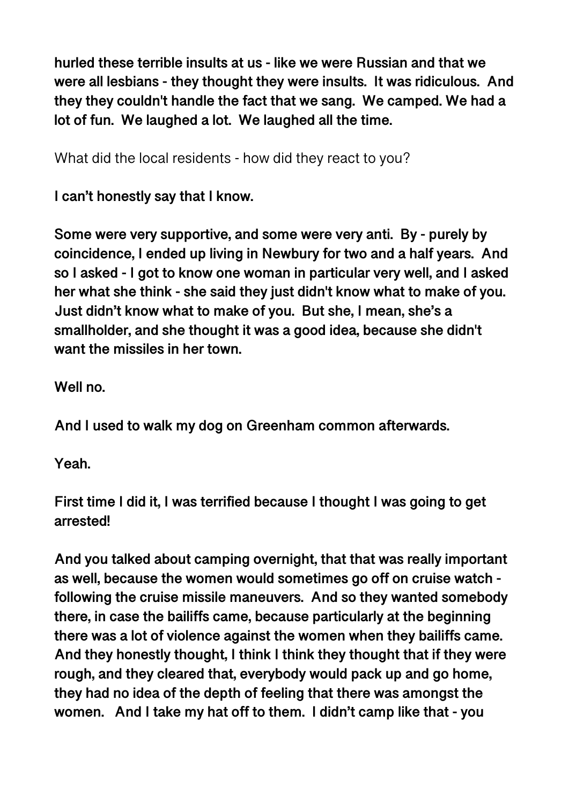**hurled these terrible insults at us - like we were Russian and that we were all lesbians - they thought they were insults. It was ridiculous. And they they couldn't handle the fact that we sang. We camped. We had a lot of fun. We laughed a lot. We laughed all the time.** 

What did the local residents - how did they react to you?

**I can't honestly say that I know.** 

**Some were very supportive, and some were very anti. By - purely by coincidence, I ended up living in Newbury for two and a half years. And so I asked - I got to know one woman in particular very well, and I asked her what she think - she said they just didn't know what to make of you. Just didn't know what to make of you. But she, I mean, she's a smallholder, and she thought it was a good idea, because she didn't want the missiles in her town.** 

**Well no.** 

**And I used to walk my dog on Greenham common afterwards.** 

**Yeah.** 

**First time I did it, I was terrified because I thought I was going to get arrested!** 

**And you talked about camping overnight, that that was really important as well, because the women would sometimes go off on cruise watch following the cruise missile maneuvers. And so they wanted somebody there, in case the bailiffs came, because particularly at the beginning there was a lot of violence against the women when they bailiffs came. And they honestly thought, I think I think they thought that if they were rough, and they cleared that, everybody would pack up and go home, they had no idea of the depth of feeling that there was amongst the women. And I take my hat off to them. I didn't camp like that - you**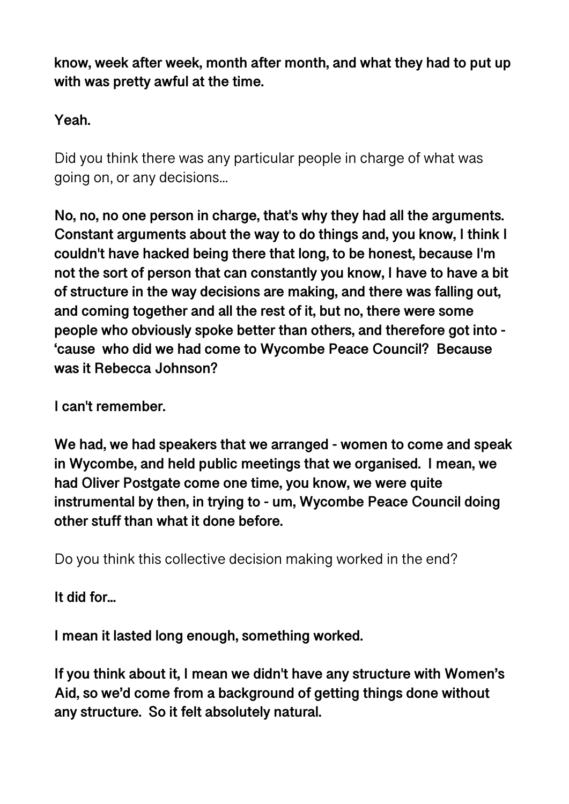**know, week after week, month after month, and what they had to put up with was pretty awful at the time.** 

## **Yeah.**

Did you think there was any particular people in charge of what was going on, or any decisions...

**No, no, no one person in charge, that's why they had all the arguments. Constant arguments about the way to do things and, you know, I think I couldn't have hacked being there that long, to be honest, because I'm not the sort of person that can constantly you know, I have to have a bit of structure in the way decisions are making, and there was falling out, and coming together and all the rest of it, but no, there were some people who obviously spoke better than others, and therefore got into - 'cause who did we had come to Wycombe Peace Council? Because was it Rebecca Johnson?** 

**I can't remember.** 

**We had, we had speakers that we arranged - women to come and speak in Wycombe, and held public meetings that we organised. I mean, we had Oliver Postgate come one time, you know, we were quite instrumental by then, in trying to - um, Wycombe Peace Council doing other stuff than what it done before.** 

Do you think this collective decision making worked in the end?

**It did for...** 

**I mean it lasted long enough, something worked.** 

**If you think about it, I mean we didn't have any structure with Women's Aid, so we'd come from a background of getting things done without any structure. So it felt absolutely natural.**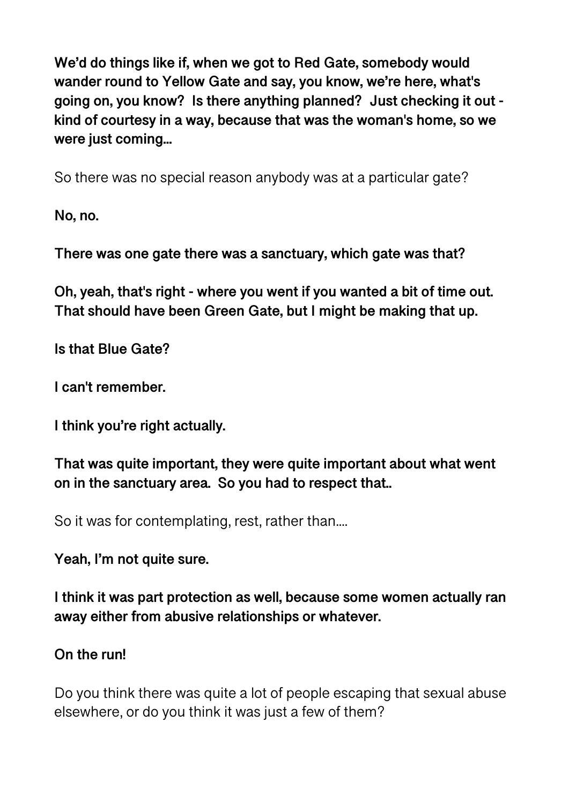**We'd do things like if, when we got to Red Gate, somebody would wander round to Yellow Gate and say, you know, we're here, what's going on, you know? Is there anything planned? Just checking it out kind of courtesy in a way, because that was the woman's home, so we were just coming...** 

So there was no special reason anybody was at a particular gate?

**No, no.** 

**There was one gate there was a sanctuary, which gate was that?** 

**Oh, yeah, that's right - where you went if you wanted a bit of time out. That should have been Green Gate, but I might be making that up.** 

**Is that Blue Gate?** 

**I can't remember.** 

**I think you're right actually.** 

**That was quite important, they were quite important about what went on in the sanctuary area. So you had to respect that..** 

So it was for contemplating, rest, rather than....

**Yeah, I'm not quite sure.** 

**I think it was part protection as well, because some women actually ran away either from abusive relationships or whatever.** 

### **On the run!**

Do you think there was quite a lot of people escaping that sexual abuse elsewhere, or do you think it was just a few of them?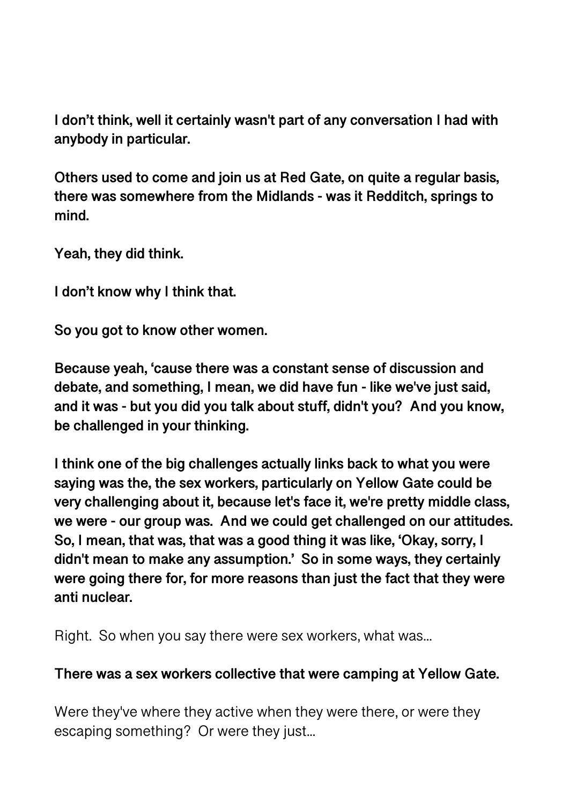**I don't think, well it certainly wasn't part of any conversation I had with anybody in particular.** 

**Others used to come and join us at Red Gate, on quite a regular basis, there was somewhere from the Midlands - was it Redditch, springs to mind.** 

**Yeah, they did think.** 

**I don't know why I think that.** 

**So you got to know other women.** 

**Because yeah, 'cause there was a constant sense of discussion and debate, and something, I mean, we did have fun - like we've just said, and it was - but you did you talk about stuff, didn't you? And you know, be challenged in your thinking.** 

**I think one of the big challenges actually links back to what you were saying was the, the sex workers, particularly on Yellow Gate could be very challenging about it, because let's face it, we're pretty middle class, we were - our group was. And we could get challenged on our attitudes. So, I mean, that was, that was a good thing it was like, 'Okay, sorry, I didn't mean to make any assumption.' So in some ways, they certainly were going there for, for more reasons than just the fact that they were anti nuclear.** 

Right. So when you say there were sex workers, what was...

#### **There was a sex workers collective that were camping at Yellow Gate.**

Were they've where they active when they were there, or were they escaping something? Or were they just...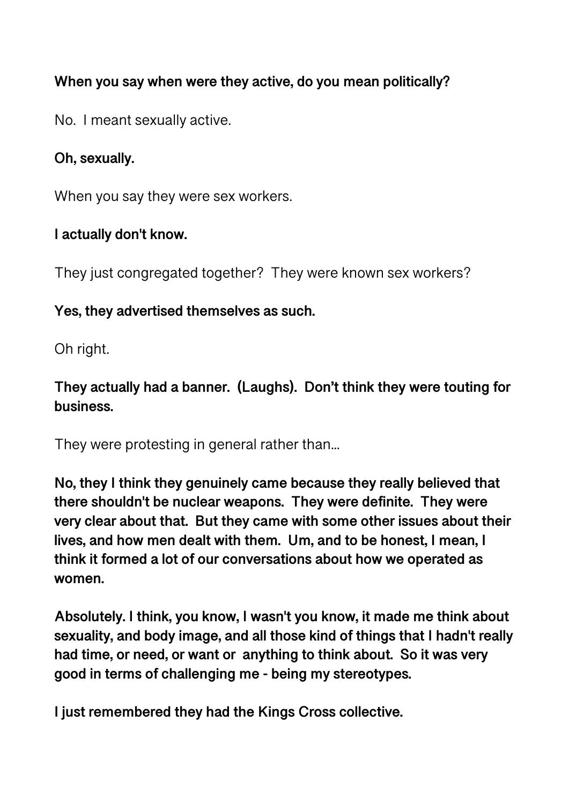### **When you say when were they active, do you mean politically?**

No. I meant sexually active.

#### **Oh, sexually.**

When you say they were sex workers.

#### **I actually don't know.**

They just congregated together? They were known sex workers?

### **Yes, they advertised themselves as such.**

Oh right.

## **They actually had a banner. (Laughs). Don't think they were touting for business.**

They were protesting in general rather than...

**No, they I think they genuinely came because they really believed that there shouldn't be nuclear weapons. They were definite. They were very clear about that. But they came with some other issues about their lives, and how men dealt with them. Um, and to be honest, I mean, I think it formed a lot of our conversations about how we operated as women.** 

**Absolutely. I think, you know, I wasn't you know, it made me think about sexuality, and body image, and all those kind of things that I hadn't really had time, or need, or want or anything to think about. So it was very good in terms of challenging me - being my stereotypes.** 

**I just remembered they had the Kings Cross collective.**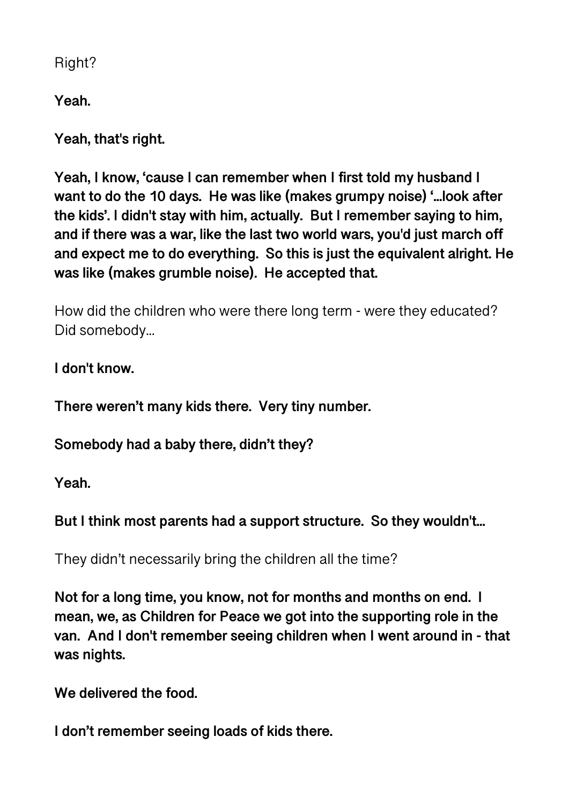Right?

**Yeah.** 

**Yeah, that's right.** 

**Yeah, I know, 'cause I can remember when I first told my husband I want to do the 10 days. He was like (makes grumpy noise) '...look after the kids'. I didn't stay with him, actually. But I remember saying to him, and if there was a war, like the last two world wars, you'd just march off and expect me to do everything. So this is just the equivalent alright. He was like (makes grumble noise). He accepted that.** 

How did the children who were there long term - were they educated? Did somebody...

**I don't know.** 

**There weren't many kids there. Very tiny number.** 

**Somebody had a baby there, didn't they?** 

**Yeah.** 

**But I think most parents had a support structure. So they wouldn't...** 

They didn't necessarily bring the children all the time?

**Not for a long time, you know, not for months and months on end. I mean, we, as Children for Peace we got into the supporting role in the van. And I don't remember seeing children when I went around in - that was nights.** 

**We delivered the food.** 

**I don't remember seeing loads of kids there.**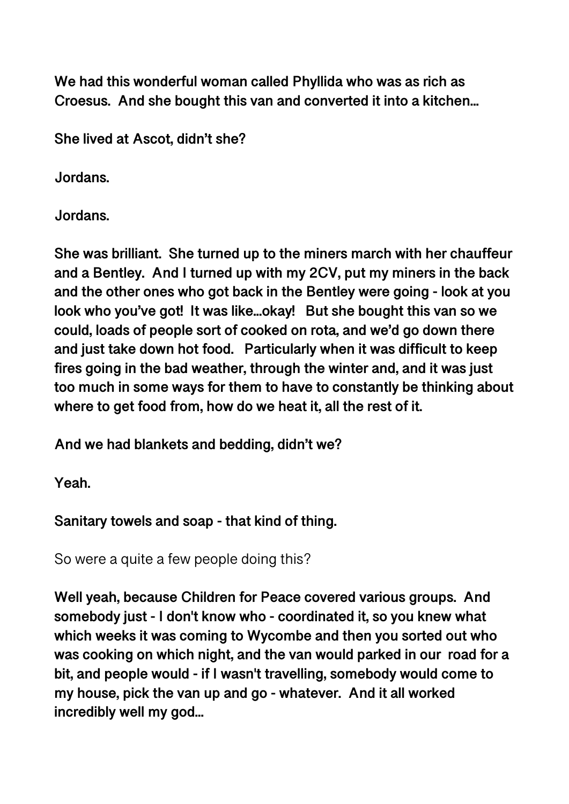**We had this wonderful woman called Phyllida who was as rich as Croesus. And she bought this van and converted it into a kitchen...** 

**She lived at Ascot, didn't she?** 

**Jordans.** 

**Jordans.** 

**She was brilliant. She turned up to the miners march with her chauffeur and a Bentley. And I turned up with my 2CV, put my miners in the back and the other ones who got back in the Bentley were going - look at you look who you've got! It was like...okay! But she bought this van so we could, loads of people sort of cooked on rota, and we'd go down there and just take down hot food. Particularly when it was difficult to keep fires going in the bad weather, through the winter and, and it was just too much in some ways for them to have to constantly be thinking about where to get food from, how do we heat it, all the rest of it.** 

**And we had blankets and bedding, didn't we?** 

**Yeah.** 

**Sanitary towels and soap - that kind of thing.** 

So were a quite a few people doing this?

**Well yeah, because Children for Peace covered various groups. And somebody just - I don't know who - coordinated it, so you knew what which weeks it was coming to Wycombe and then you sorted out who was cooking on which night, and the van would parked in our road for a bit, and people would - if I wasn't travelling, somebody would come to my house, pick the van up and go - whatever. And it all worked incredibly well my god...**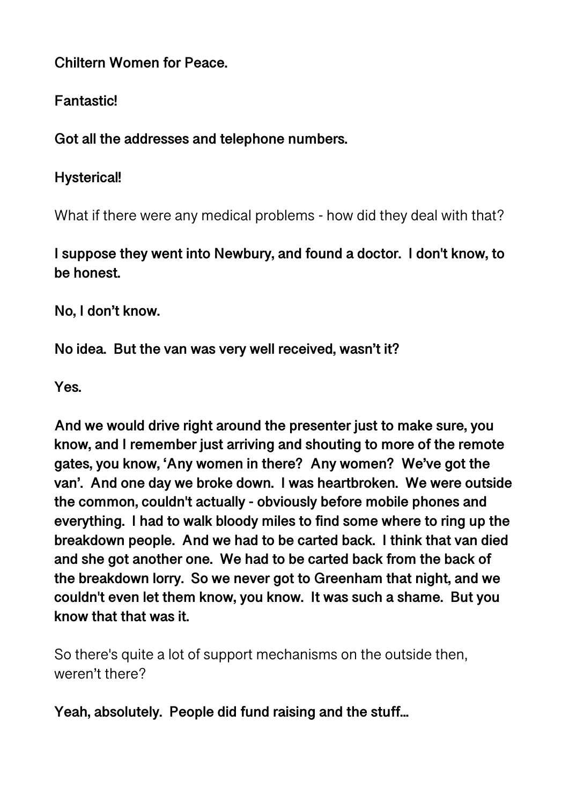**Chiltern Women for Peace.** 

**Fantastic!** 

**Got all the addresses and telephone numbers.** 

**Hysterical!** 

What if there were any medical problems - how did they deal with that?

**I suppose they went into Newbury, and found a doctor. I don't know, to be honest.** 

**No, I don't know.** 

**No idea. But the van was very well received, wasn't it?** 

**Yes.** 

**And we would drive right around the presenter just to make sure, you know, and I remember just arriving and shouting to more of the remote gates, you know, 'Any women in there? Any women? We've got the van'. And one day we broke down. I was heartbroken. We were outside the common, couldn't actually - obviously before mobile phones and everything. I had to walk bloody miles to find some where to ring up the breakdown people. And we had to be carted back. I think that van died and she got another one. We had to be carted back from the back of the breakdown lorry. So we never got to Greenham that night, and we couldn't even let them know, you know. It was such a shame. But you know that that was it.** 

So there's quite a lot of support mechanisms on the outside then, weren't there?

**Yeah, absolutely. People did fund raising and the stuff...**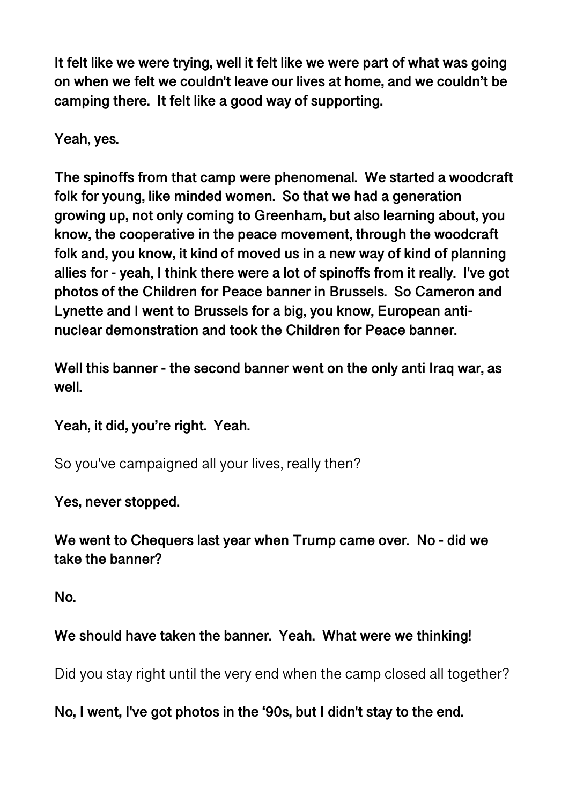**It felt like we were trying, well it felt like we were part of what was going on when we felt we couldn't leave our lives at home, and we couldn't be camping there. It felt like a good way of supporting.** 

**Yeah, yes.** 

**The spinoffs from that camp were phenomenal. We started a woodcraft folk for young, like minded women. So that we had a generation growing up, not only coming to Greenham, but also learning about, you know, the cooperative in the peace movement, through the woodcraft folk and, you know, it kind of moved us in a new way of kind of planning allies for - yeah, I think there were a lot of spinoffs from it really. I've got photos of the Children for Peace banner in Brussels. So Cameron and Lynette and I went to Brussels for a big, you know, European antinuclear demonstration and took the Children for Peace banner.** 

**Well this banner - the second banner went on the only anti Iraq war, as well.** 

**Yeah, it did, you're right. Yeah.** 

So you've campaigned all your lives, really then?

**Yes, never stopped.** 

**We went to Chequers last year when Trump came over. No - did we take the banner?** 

**No.** 

### **We should have taken the banner. Yeah. What were we thinking!**

Did you stay right until the very end when the camp closed all together?

**No, I went, I've got photos in the '90s, but I didn't stay to the end.**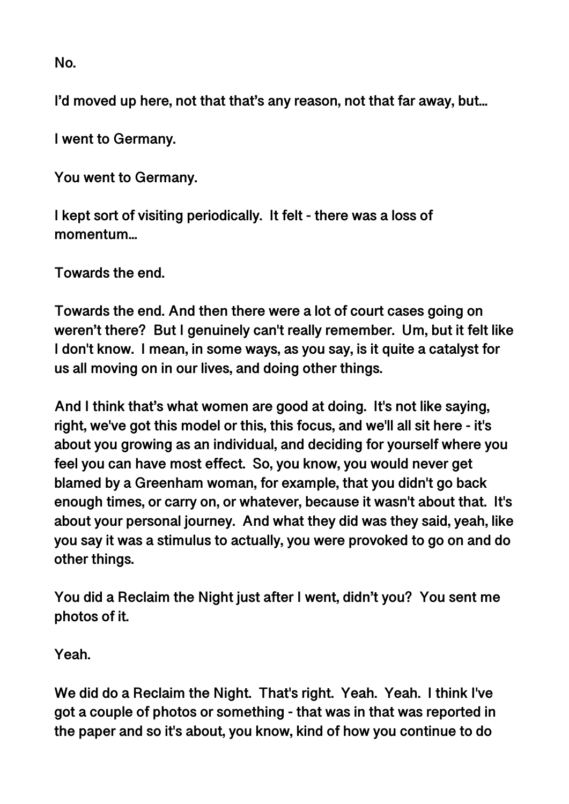**No.** 

**I'd moved up here, not that that's any reason, not that far away, but...** 

**I went to Germany.** 

**You went to Germany.** 

**I kept sort of visiting periodically. It felt - there was a loss of momentum...** 

**Towards the end.** 

**Towards the end. And then there were a lot of court cases going on weren't there? But I genuinely can't really remember. Um, but it felt like I don't know. I mean, in some ways, as you say, is it quite a catalyst for us all moving on in our lives, and doing other things.** 

**And I think that's what women are good at doing. It's not like saying, right, we've got this model or this, this focus, and we'll all sit here - it's about you growing as an individual, and deciding for yourself where you feel you can have most effect. So, you know, you would never get blamed by a Greenham woman, for example, that you didn't go back enough times, or carry on, or whatever, because it wasn't about that. It's about your personal journey. And what they did was they said, yeah, like you say it was a stimulus to actually, you were provoked to go on and do other things.** 

**You did a Reclaim the Night just after I went, didn't you? You sent me photos of it.** 

**Yeah.** 

**We did do a Reclaim the Night. That's right. Yeah. Yeah. I think I've got a couple of photos or something - that was in that was reported in the paper and so it's about, you know, kind of how you continue to do**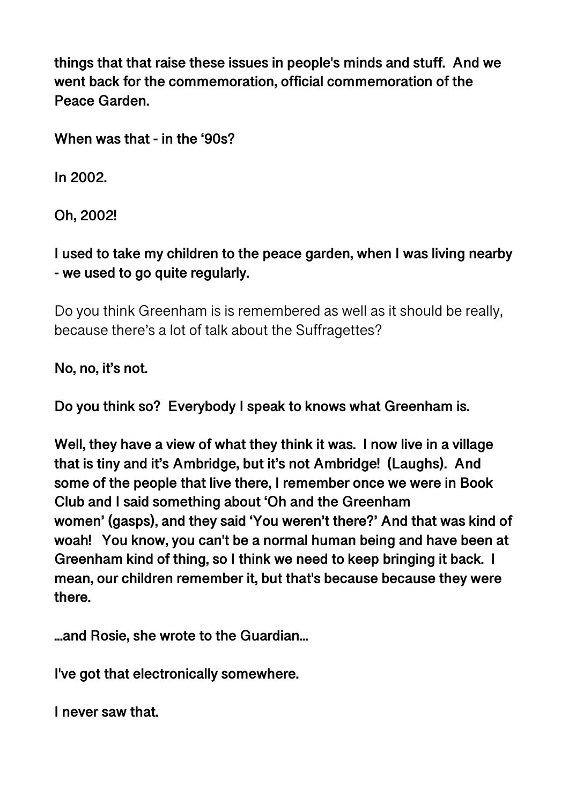**things that that raise these issues in people's minds and stuff. And we went back for the commemoration, official commemoration of the Peace Garden.** 

**When was that - in the '90s?** 

**In 2002.** 

**Oh, 2002!** 

**I used to take my children to the peace garden, when I was living nearby - we used to go quite regularly.** 

Do you think Greenham is is remembered as well as it should be really, because there's a lot of talk about the Suffragettes?

**No, no, it's not.** 

**Do you think so? Everybody I speak to knows what Greenham is.** 

**Well, they have a view of what they think it was. I now live in a village that is tiny and it's Ambridge, but it's not Ambridge! (Laughs). And some of the people that live there, I remember once we were in Book Club and I said something about 'Oh and the Greenham women' (gasps), and they said 'You weren't there?' And that was kind of woah! You know, you can't be a normal human being and have been at Greenham kind of thing, so I think we need to keep bringing it back. I mean, our children remember it, but that's because because they were there.** 

**...and Rosie, she wrote to the Guardian...** 

**I've got that electronically somewhere.** 

**I never saw that.**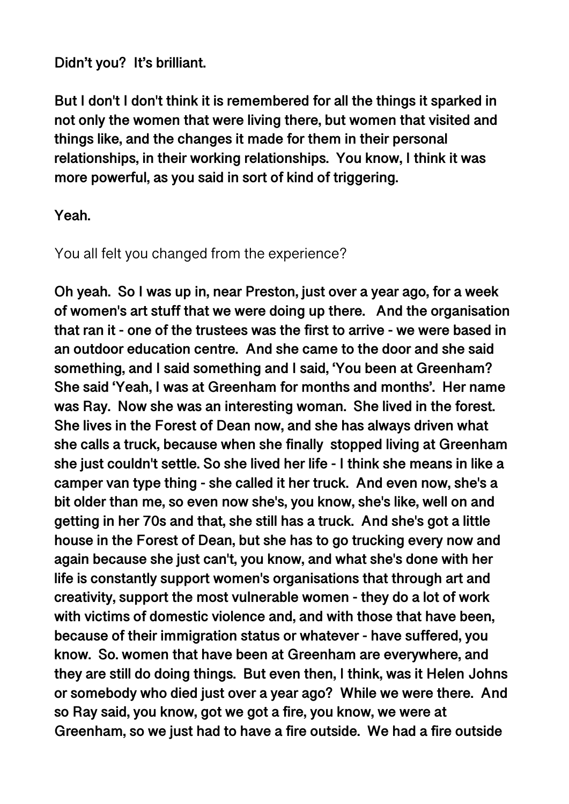#### **Didn't you? It's brilliant.**

**But I don't I don't think it is remembered for all the things it sparked in not only the women that were living there, but women that visited and things like, and the changes it made for them in their personal relationships, in their working relationships. You know, I think it was more powerful, as you said in sort of kind of triggering.** 

#### **Yeah.**

#### You all felt you changed from the experience?

**Oh yeah. So I was up in, near Preston, just over a year ago, for a week of women's art stuff that we were doing up there. And the organisation that ran it - one of the trustees was the first to arrive - we were based in an outdoor education centre. And she came to the door and she said something, and I said something and I said, 'You been at Greenham? She said 'Yeah, I was at Greenham for months and months'. Her name was Ray. Now she was an interesting woman. She lived in the forest. She lives in the Forest of Dean now, and she has always driven what she calls a truck, because when she finally stopped living at Greenham she just couldn't settle. So she lived her life - I think she means in like a camper van type thing - she called it her truck. And even now, she's a bit older than me, so even now she's, you know, she's like, well on and getting in her 70s and that, she still has a truck. And she's got a little house in the Forest of Dean, but she has to go trucking every now and again because she just can't, you know, and what she's done with her life is constantly support women's organisations that through art and creativity, support the most vulnerable women - they do a lot of work with victims of domestic violence and, and with those that have been, because of their immigration status or whatever - have suffered, you know. So. women that have been at Greenham are everywhere, and they are still do doing things. But even then, I think, was it Helen Johns or somebody who died just over a year ago? While we were there. And so Ray said, you know, got we got a fire, you know, we were at Greenham, so we just had to have a fire outside. We had a fire outside**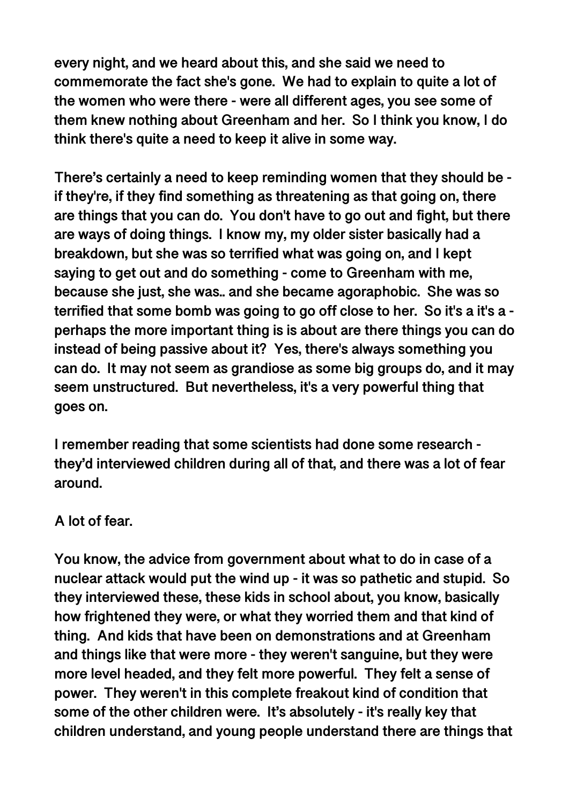**every night, and we heard about this, and she said we need to commemorate the fact she's gone. We had to explain to quite a lot of the women who were there - were all different ages, you see some of them knew nothing about Greenham and her. So I think you know, I do think there's quite a need to keep it alive in some way.** 

**There's certainly a need to keep reminding women that they should be if they're, if they find something as threatening as that going on, there are things that you can do. You don't have to go out and fight, but there are ways of doing things. I know my, my older sister basically had a breakdown, but she was so terrified what was going on, and I kept saying to get out and do something - come to Greenham with me, because she just, she was.. and she became agoraphobic. She was so terrified that some bomb was going to go off close to her. So it's a it's a perhaps the more important thing is is about are there things you can do instead of being passive about it? Yes, there's always something you can do. It may not seem as grandiose as some big groups do, and it may seem unstructured. But nevertheless, it's a very powerful thing that goes on.**

**I remember reading that some scientists had done some research they'd interviewed children during all of that, and there was a lot of fear around.** 

#### **A lot of fear.**

**You know, the advice from government about what to do in case of a nuclear attack would put the wind up - it was so pathetic and stupid. So they interviewed these, these kids in school about, you know, basically how frightened they were, or what they worried them and that kind of thing. And kids that have been on demonstrations and at Greenham and things like that were more - they weren't sanguine, but they were more level headed, and they felt more powerful. They felt a sense of power. They weren't in this complete freakout kind of condition that some of the other children were. It's absolutely - it's really key that children understand, and young people understand there are things that**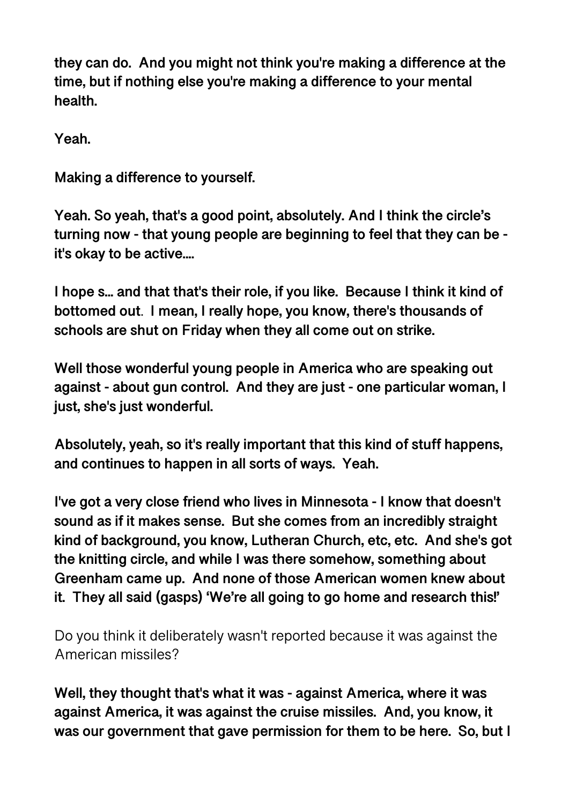**they can do. And you might not think you're making a difference at the time, but if nothing else you're making a difference to your mental health.** 

**Yeah.** 

**Making a difference to yourself.** 

**Yeah. So yeah, that's a good point, absolutely. And I think the circle's turning now - that young people are beginning to feel that they can be it's okay to be active....** 

**I hope s... and that that's their role, if you like. Because I think it kind of bottomed out**. **I mean, I really hope, you know, there's thousands of schools are shut on Friday when they all come out on strike.** 

**Well those wonderful young people in America who are speaking out against - about gun control. And they are just - one particular woman, I just, she's just wonderful.** 

**Absolutely, yeah, so it's really important that this kind of stuff happens, and continues to happen in all sorts of ways. Yeah.** 

**I've got a very close friend who lives in Minnesota - I know that doesn't sound as if it makes sense. But she comes from an incredibly straight kind of background, you know, Lutheran Church, etc, etc. And she's got the knitting circle, and while I was there somehow, something about Greenham came up. And none of those American women knew about it. They all said (gasps) 'We're all going to go home and research this!'** 

Do you think it deliberately wasn't reported because it was against the American missiles?

**Well, they thought that's what it was - against America, where it was against America, it was against the cruise missiles. And, you know, it was our government that gave permission for them to be here. So, but I**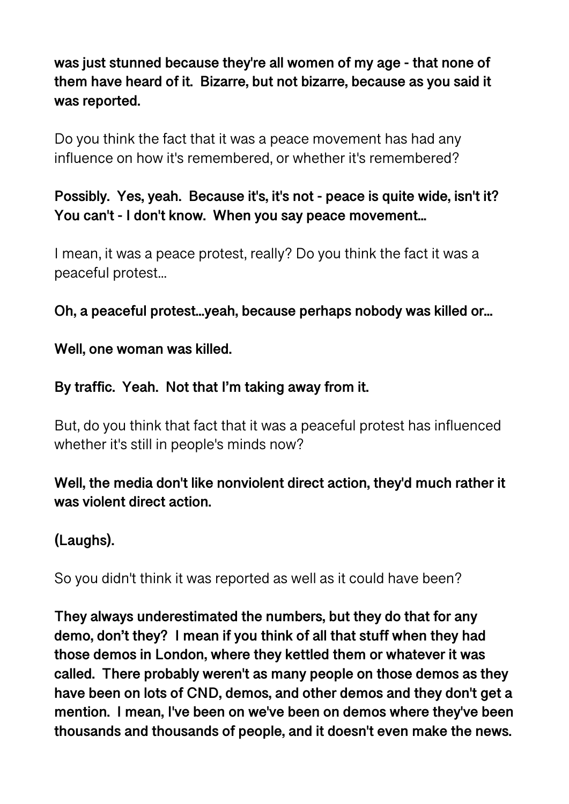**was just stunned because they're all women of my age - that none of them have heard of it. Bizarre, but not bizarre, because as you said it was reported.** 

Do you think the fact that it was a peace movement has had any influence on how it's remembered, or whether it's remembered?

## **Possibly. Yes, yeah. Because it's, it's not - peace is quite wide, isn't it? You can't - I don't know. When you say peace movement...**

I mean, it was a peace protest, really? Do you think the fact it was a peaceful protest...

**Oh, a peaceful protest...yeah, because perhaps nobody was killed or...** 

**Well, one woman was killed.** 

#### **By traffic. Yeah. Not that I'm taking away from it.**

But, do you think that fact that it was a peaceful protest has influenced whether it's still in people's minds now?

### **Well, the media don't like nonviolent direct action, they'd much rather it was violent direct action.**

### **(Laughs).**

So you didn't think it was reported as well as it could have been?

**They always underestimated the numbers, but they do that for any demo, don't they? I mean if you think of all that stuff when they had those demos in London, where they kettled them or whatever it was called. There probably weren't as many people on those demos as they have been on lots of CND, demos, and other demos and they don't get a mention. I mean, I've been on we've been on demos where they've been thousands and thousands of people, and it doesn't even make the news.**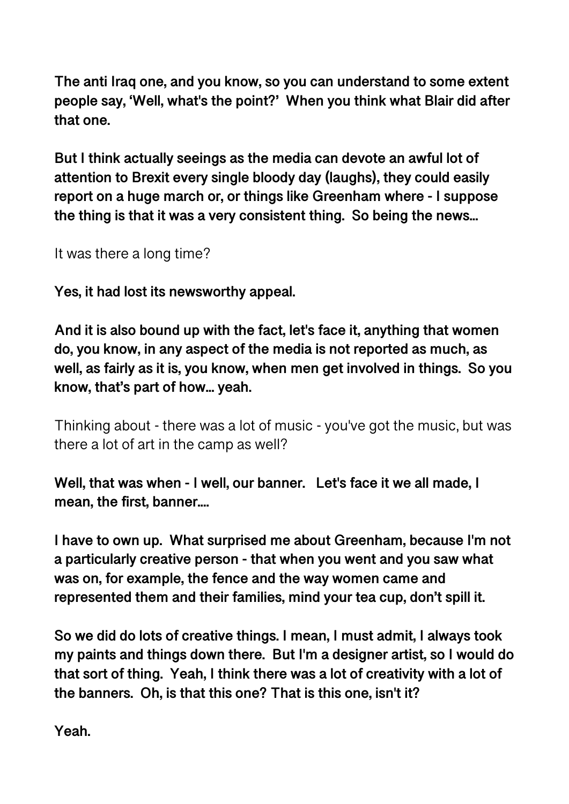**The anti Iraq one, and you know, so you can understand to some extent people say, 'Well, what's the point?' When you think what Blair did after that one.** 

**But I think actually seeings as the media can devote an awful lot of attention to Brexit every single bloody day (laughs), they could easily report on a huge march or, or things like Greenham where - I suppose the thing is that it was a very consistent thing. So being the news...** 

It was there a long time?

**Yes, it had lost its newsworthy appeal.** 

**And it is also bound up with the fact, let's face it, anything that women do, you know, in any aspect of the media is not reported as much, as well, as fairly as it is, you know, when men get involved in things. So you know, that's part of how... yeah.** 

Thinking about - there was a lot of music - you've got the music, but was there a lot of art in the camp as well?

**Well, that was when - I well, our banner. Let's face it we all made, I mean, the first, banner....** 

**I have to own up. What surprised me about Greenham, because I'm not a particularly creative person - that when you went and you saw what was on, for example, the fence and the way women came and represented them and their families, mind your tea cup, don't spill it.** 

**So we did do lots of creative things. I mean, I must admit, I always took my paints and things down there. But I'm a designer artist, so I would do that sort of thing. Yeah, I think there was a lot of creativity with a lot of the banners. Oh, is that this one? That is this one, isn't it?** 

**Yeah.**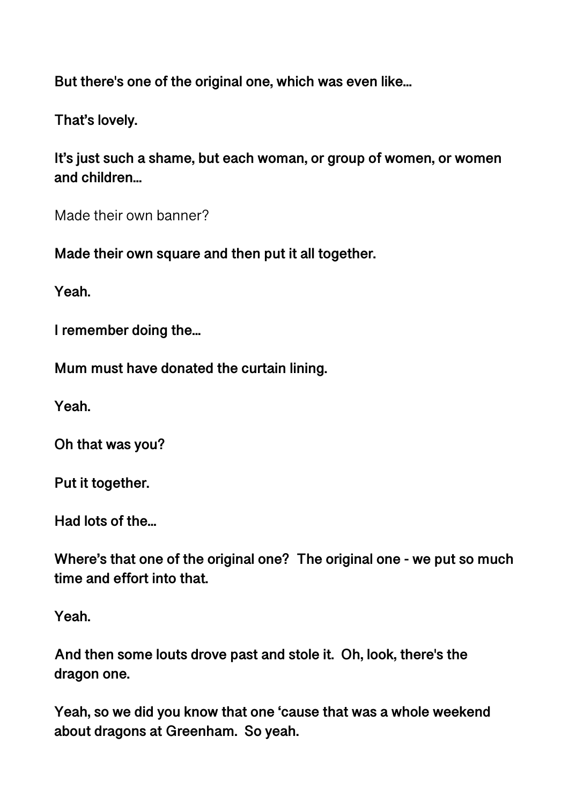**But there's one of the original one, which was even like...** 

**That's lovely.** 

**It's just such a shame, but each woman, or group of women, or women and children...** 

Made their own banner?

**Made their own square and then put it all together.** 

**Yeah.** 

**I remember doing the...** 

**Mum must have donated the curtain lining.** 

**Yeah.** 

**Oh that was you?** 

**Put it together.** 

**Had lots of the...** 

**Where's that one of the original one? The original one - we put so much time and effort into that.** 

**Yeah.** 

**And then some louts drove past and stole it. Oh, look, there's the dragon one.** 

**Yeah, so we did you know that one 'cause that was a whole weekend about dragons at Greenham. So yeah.**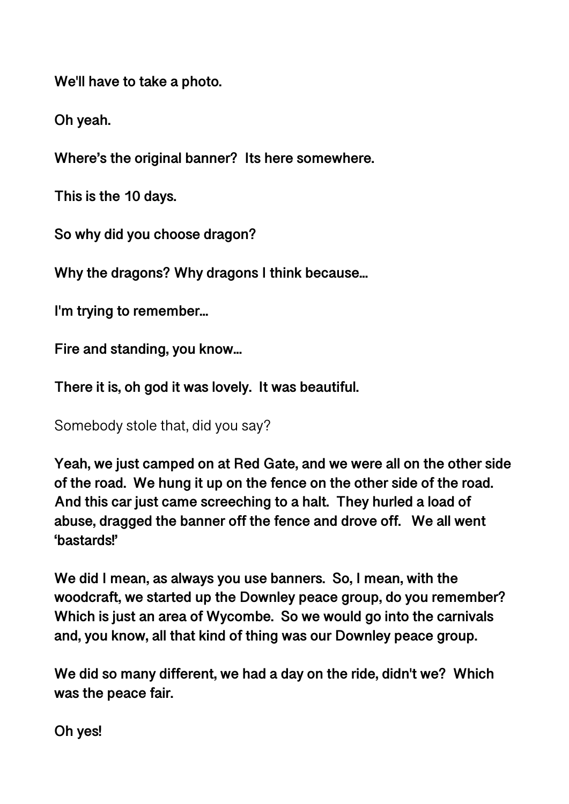**We'll have to take a photo.** 

**Oh yeah.** 

**Where's the original banner? Its here somewhere.** 

**This is the 10 days.** 

**So why did you choose dragon?** 

**Why the dragons? Why dragons I think because...** 

**I'm trying to remember...** 

**Fire and standing, you know...** 

**There it is, oh god it was lovely. It was beautiful.** 

Somebody stole that, did you say?

**Yeah, we just camped on at Red Gate, and we were all on the other side of the road. We hung it up on the fence on the other side of the road. And this car just came screeching to a halt. They hurled a load of abuse, dragged the banner off the fence and drove off. We all went 'bastards!'** 

**We did I mean, as always you use banners. So, I mean, with the woodcraft, we started up the Downley peace group, do you remember? Which is just an area of Wycombe. So we would go into the carnivals and, you know, all that kind of thing was our Downley peace group.** 

**We did so many different, we had a day on the ride, didn't we? Which was the peace fair.** 

**Oh yes!**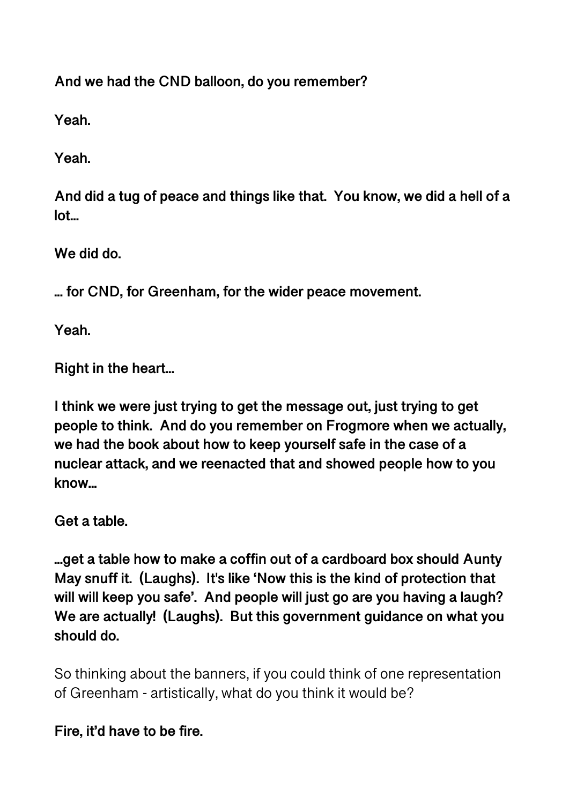**And we had the CND balloon, do you remember?** 

**Yeah.** 

**Yeah.** 

**And did a tug of peace and things like that. You know, we did a hell of a lot...** 

**We did do.** 

**... for CND, for Greenham, for the wider peace movement.** 

**Yeah.** 

**Right in the heart...** 

**I think we were just trying to get the message out, just trying to get people to think. And do you remember on Frogmore when we actually, we had the book about how to keep yourself safe in the case of a nuclear attack, and we reenacted that and showed people how to you know...** 

**Get a table.** 

**...get a table how to make a coffin out of a cardboard box should Aunty May snuff it. (Laughs). It's like 'Now this is the kind of protection that will will keep you safe'. And people will just go are you having a laugh? We are actually! (Laughs). But this government guidance on what you should do.** 

So thinking about the banners, if you could think of one representation of Greenham - artistically, what do you think it would be?

**Fire, it'd have to be fire.**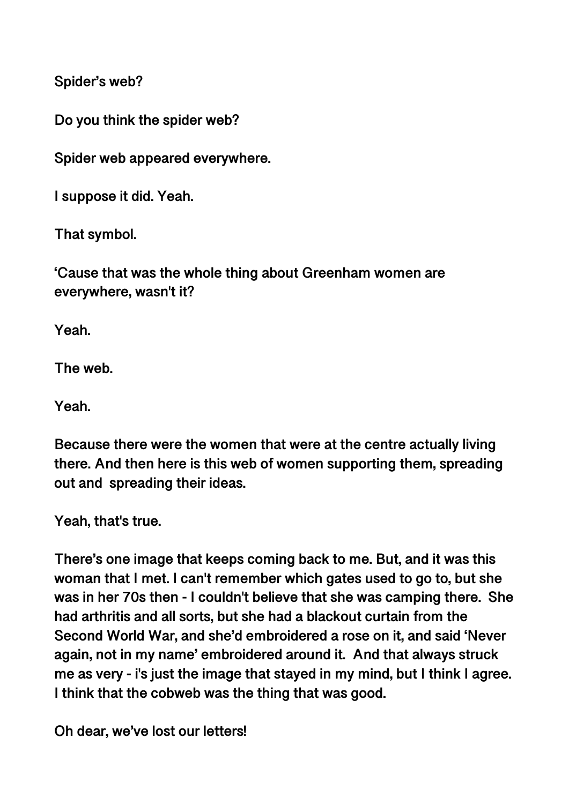**Spider's web?** 

**Do you think the spider web?** 

**Spider web appeared everywhere.** 

**I suppose it did. Yeah.** 

**That symbol.** 

**'Cause that was the whole thing about Greenham women are everywhere, wasn't it?** 

**Yeah.** 

**The web.** 

**Yeah.** 

**Because there were the women that were at the centre actually living there. And then here is this web of women supporting them, spreading out and spreading their ideas.** 

**Yeah, that's true.** 

**There's one image that keeps coming back to me. But, and it was this woman that I met. I can't remember which gates used to go to, but she was in her 70s then - I couldn't believe that she was camping there. She had arthritis and all sorts, but she had a blackout curtain from the Second World War, and she'd embroidered a rose on it, and said 'Never again, not in my name' embroidered around it. And that always struck me as very - i's just the image that stayed in my mind, but I think I agree. I think that the cobweb was the thing that was good.** 

**Oh dear, we've lost our letters!**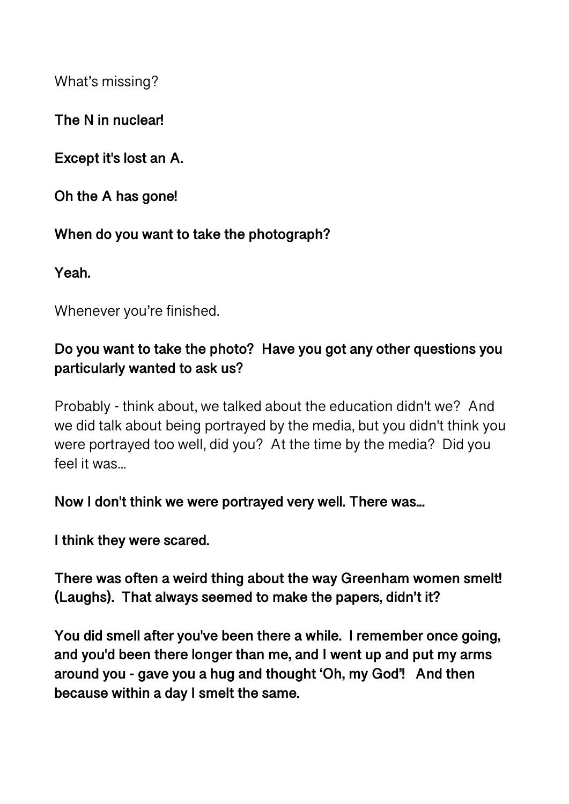What's missing?

**The N in nuclear!** 

**Except it's lost an A.** 

**Oh the A has gone!** 

**When do you want to take the photograph?** 

**Yeah.** 

Whenever you're finished.

## **Do you want to take the photo? Have you got any other questions you particularly wanted to ask us?**

Probably - think about, we talked about the education didn't we? And we did talk about being portrayed by the media, but you didn't think you were portrayed too well, did you? At the time by the media? Did you feel it was...

**Now I don't think we were portrayed very well. There was...** 

**I think they were scared.** 

**There was often a weird thing about the way Greenham women smelt! (Laughs). That always seemed to make the papers, didn't it?** 

**You did smell after you've been there a while. I remember once going, and you'd been there longer than me, and I went up and put my arms around you - gave you a hug and thought 'Oh, my God'! And then because within a day I smelt the same.**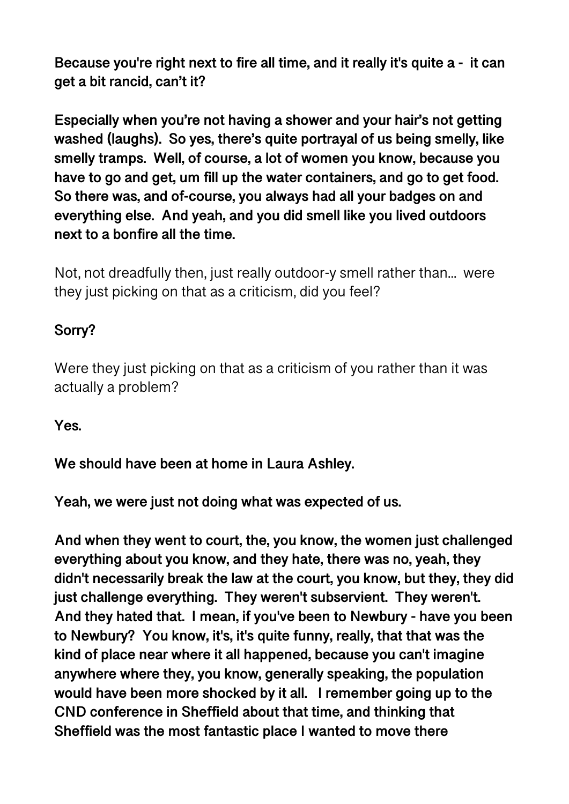**Because you're right next to fire all time, and it really it's quite a - it can get a bit rancid, can't it?** 

**Especially when you're not having a shower and your hair's not getting washed (laughs). So yes, there's quite portrayal of us being smelly, like smelly tramps. Well, of course, a lot of women you know, because you have to go and get, um fill up the water containers, and go to get food. So there was, and of-course, you always had all your badges on and everything else. And yeah, and you did smell like you lived outdoors next to a bonfire all the time.** 

Not, not dreadfully then, just really outdoor-y smell rather than... were they just picking on that as a criticism, did you feel?

## **Sorry?**

Were they just picking on that as a criticism of you rather than it was actually a problem?

**Yes.** 

**We should have been at home in Laura Ashley.** 

**Yeah, we were just not doing what was expected of us.** 

**And when they went to court, the, you know, the women just challenged everything about you know, and they hate, there was no, yeah, they didn't necessarily break the law at the court, you know, but they, they did just challenge everything. They weren't subservient. They weren't. And they hated that. I mean, if you've been to Newbury - have you been to Newbury? You know, it's, it's quite funny, really, that that was the kind of place near where it all happened, because you can't imagine anywhere where they, you know, generally speaking, the population would have been more shocked by it all. I remember going up to the CND conference in Sheffield about that time, and thinking that Sheffield was the most fantastic place I wanted to move there**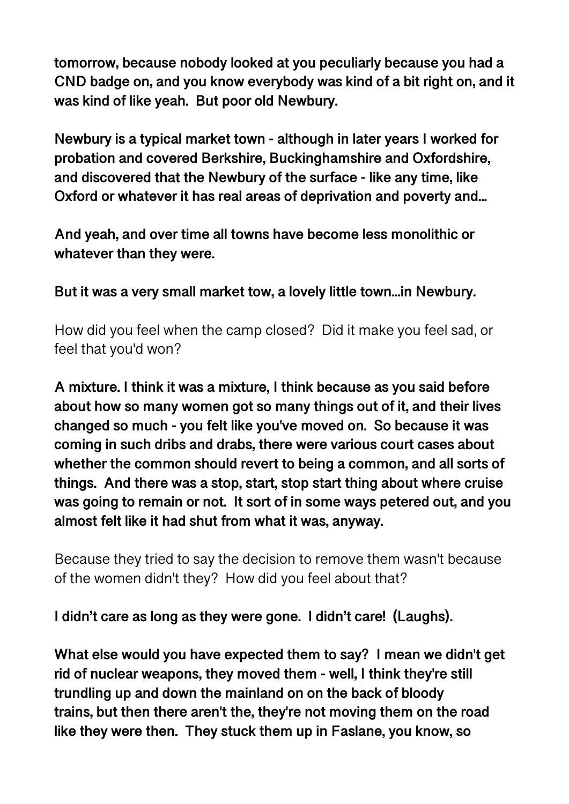**tomorrow, because nobody looked at you peculiarly because you had a CND badge on, and you know everybody was kind of a bit right on, and it was kind of like yeah. But poor old Newbury.** 

**Newbury is a typical market town - although in later years I worked for probation and covered Berkshire, Buckinghamshire and Oxfordshire, and discovered that the Newbury of the surface - like any time, like Oxford or whatever it has real areas of deprivation and poverty and...** 

**And yeah, and over time all towns have become less monolithic or whatever than they were.** 

**But it was a very small market tow, a lovely little town...in Newbury.** 

How did you feel when the camp closed? Did it make you feel sad, or feel that you'd won?

**A mixture. I think it was a mixture, I think because as you said before about how so many women got so many things out of it, and their lives changed so much - you felt like you've moved on. So because it was coming in such dribs and drabs, there were various court cases about whether the common should revert to being a common, and all sorts of things. And there was a stop, start, stop start thing about where cruise was going to remain or not. It sort of in some ways petered out, and you almost felt like it had shut from what it was, anyway.** 

Because they tried to say the decision to remove them wasn't because of the women didn't they? How did you feel about that?

**I didn't care as long as they were gone. I didn't care! (Laughs).** 

**What else would you have expected them to say? I mean we didn't get rid of nuclear weapons, they moved them - well, I think they're still trundling up and down the mainland on on the back of bloody trains, but then there aren't the, they're not moving them on the road like they were then. They stuck them up in Faslane, you know, so**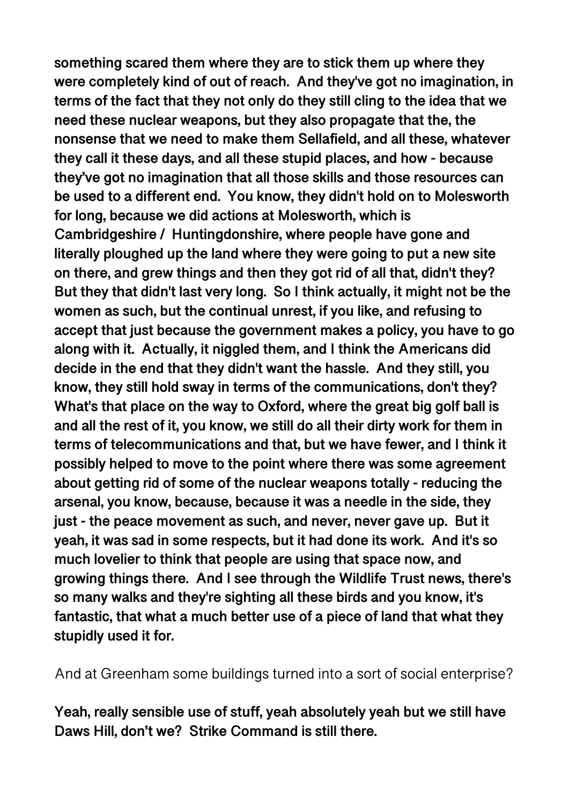**something scared them where they are to stick them up where they were completely kind of out of reach. And they've got no imagination, in terms of the fact that they not only do they still cling to the idea that we need these nuclear weapons, but they also propagate that the, the nonsense that we need to make them Sellafield, and all these, whatever they call it these days, and all these stupid places, and how - because they've got no imagination that all those skills and those resources can be used to a different end. You know, they didn't hold on to Molesworth for long, because we did actions at Molesworth, which is Cambridgeshire / Huntingdonshire, where people have gone and literally ploughed up the land where they were going to put a new site on there, and grew things and then they got rid of all that, didn't they? But they that didn't last very long. So I think actually, it might not be the women as such, but the continual unrest, if you like, and refusing to accept that just because the government makes a policy, you have to go along with it. Actually, it niggled them, and I think the Americans did decide in the end that they didn't want the hassle. And they still, you know, they still hold sway in terms of the communications, don't they? What's that place on the way to Oxford, where the great big golf ball is and all the rest of it, you know, we still do all their dirty work for them in terms of telecommunications and that, but we have fewer, and I think it possibly helped to move to the point where there was some agreement about getting rid of some of the nuclear weapons totally - reducing the arsenal, you know, because, because it was a needle in the side, they just - the peace movement as such, and never, never gave up. But it yeah, it was sad in some respects, but it had done its work. And it's so much lovelier to think that people are using that space now, and growing things there. And I see through the Wildlife Trust news, there's so many walks and they're sighting all these birds and you know, it's fantastic, that what a much better use of a piece of land that what they stupidly used it for.** 

And at Greenham some buildings turned into a sort of social enterprise?

**Yeah, really sensible use of stuff, yeah absolutely yeah but we still have Daws Hill, don't we? Strike Command is still there.**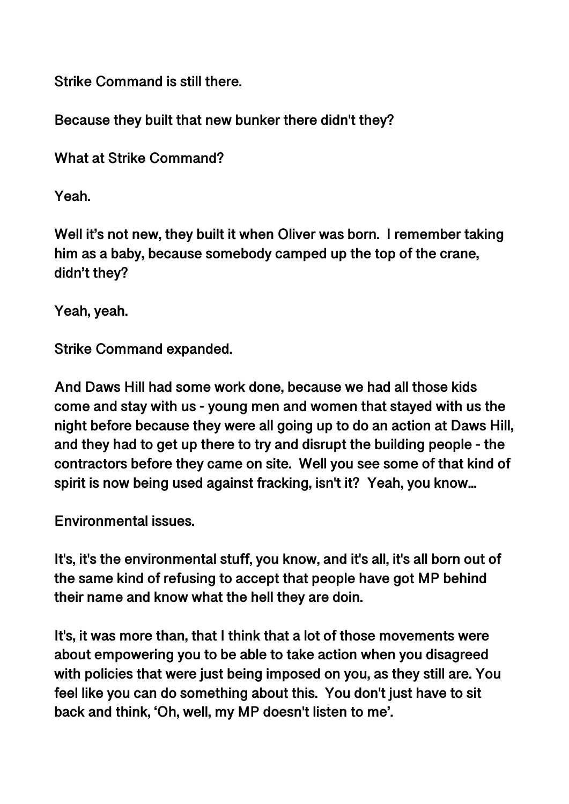**Strike Command is still there.** 

**Because they built that new bunker there didn't they?** 

**What at Strike Command?** 

**Yeah.** 

**Well it's not new, they built it when Oliver was born. I remember taking him as a baby, because somebody camped up the top of the crane, didn't they?** 

**Yeah, yeah.** 

**Strike Command expanded.** 

**And Daws Hill had some work done, because we had all those kids come and stay with us - young men and women that stayed with us the night before because they were all going up to do an action at Daws Hill, and they had to get up there to try and disrupt the building people - the contractors before they came on site. Well you see some of that kind of spirit is now being used against fracking, isn't it? Yeah, you know...** 

**Environmental issues.** 

**It's, it's the environmental stuff, you know, and it's all, it's all born out of the same kind of refusing to accept that people have got MP behind their name and know what the hell they are doin.** 

**It's, it was more than, that I think that a lot of those movements were about empowering you to be able to take action when you disagreed with policies that were just being imposed on you, as they still are. You feel like you can do something about this. You don't just have to sit back and think, 'Oh, well, my MP doesn't listen to me'.**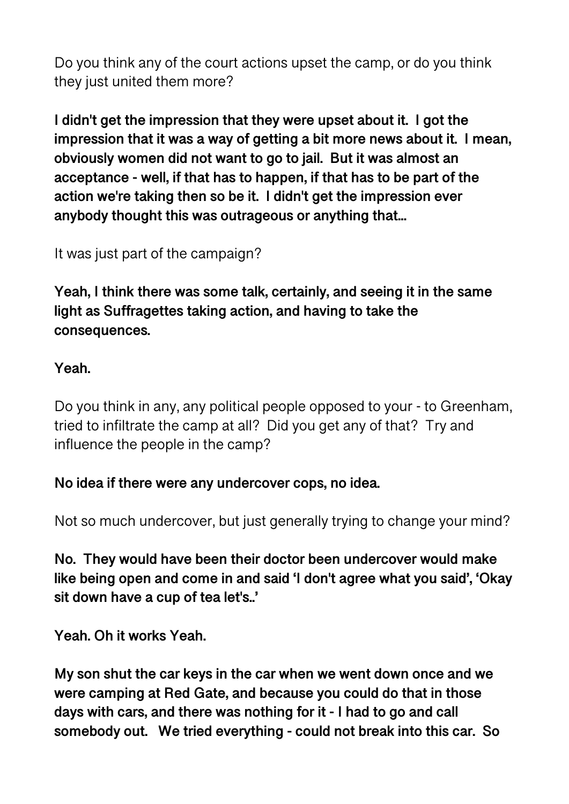Do you think any of the court actions upset the camp, or do you think they just united them more?

**I didn't get the impression that they were upset about it. I got the impression that it was a way of getting a bit more news about it. I mean, obviously women did not want to go to jail. But it was almost an acceptance - well, if that has to happen, if that has to be part of the action we're taking then so be it. I didn't get the impression ever anybody thought this was outrageous or anything that...** 

It was just part of the campaign?

**Yeah, I think there was some talk, certainly, and seeing it in the same light as Suffragettes taking action, and having to take the consequences.** 

### **Yeah.**

Do you think in any, any political people opposed to your - to Greenham, tried to infiltrate the camp at all? Did you get any of that? Try and influence the people in the camp?

#### **No idea if there were any undercover cops, no idea.**

Not so much undercover, but just generally trying to change your mind?

**No. They would have been their doctor been undercover would make like being open and come in and said 'I don't agree what you said', 'Okay sit down have a cup of tea let's..'** 

**Yeah. Oh it works Yeah.** 

**My son shut the car keys in the car when we went down once and we were camping at Red Gate, and because you could do that in those days with cars, and there was nothing for it - I had to go and call somebody out. We tried everything - could not break into this car. So**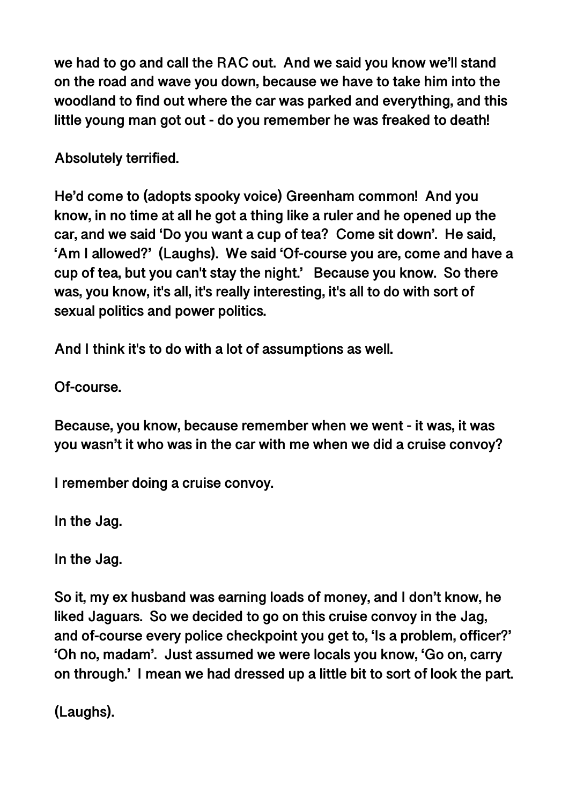**we had to go and call the RAC out. And we said you know we'll stand on the road and wave you down, because we have to take him into the woodland to find out where the car was parked and everything, and this little young man got out - do you remember he was freaked to death!** 

**Absolutely terrified.** 

**He'd come to (adopts spooky voice) Greenham common! And you know, in no time at all he got a thing like a ruler and he opened up the car, and we said 'Do you want a cup of tea? Come sit down'. He said, 'Am I allowed?' (Laughs). We said 'Of-course you are, come and have a cup of tea, but you can't stay the night.' Because you know. So there was, you know, it's all, it's really interesting, it's all to do with sort of sexual politics and power politics.** 

**And I think it's to do with a lot of assumptions as well.** 

**Of-course.** 

**Because, you know, because remember when we went - it was, it was you wasn't it who was in the car with me when we did a cruise convoy?** 

**I remember doing a cruise convoy.** 

**In the Jag.** 

**In the Jag.** 

**So it, my ex husband was earning loads of money, and I don't know, he liked Jaguars. So we decided to go on this cruise convoy in the Jag, and of-course every police checkpoint you get to, 'Is a problem, officer?' 'Oh no, madam'. Just assumed we were locals you know, 'Go on, carry on through.' I mean we had dressed up a little bit to sort of look the part.** 

**(Laughs).**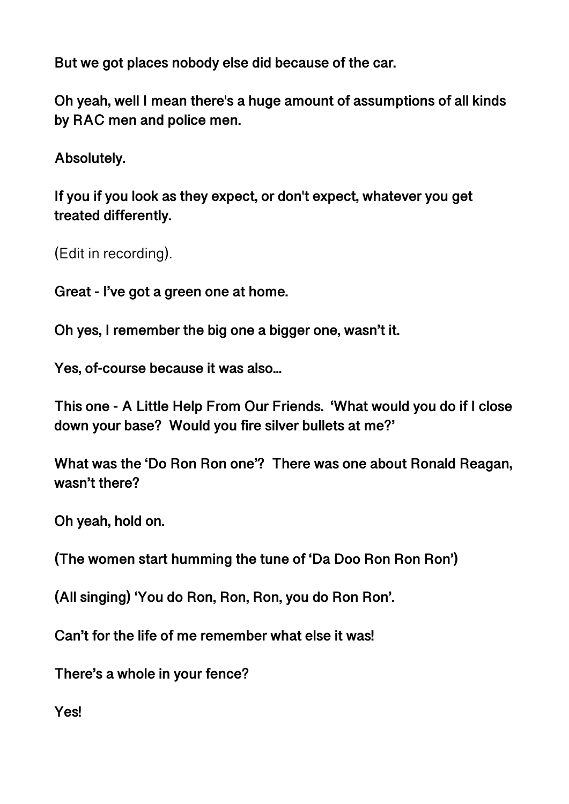**But we got places nobody else did because of the car.** 

**Oh yeah, well I mean there's a huge amount of assumptions of all kinds by RAC men and police men.** 

**Absolutely.** 

**If you if you look as they expect, or don't expect, whatever you get treated differently.** 

(Edit in recording).

**Great - I've got a green one at home.** 

**Oh yes, I remember the big one a bigger one, wasn't it.** 

**Yes, of-course because it was also...** 

**This one - A Little Help From Our Friends. 'What would you do if I close down your base? Would you fire silver bullets at me?'** 

**What was the 'Do Ron Ron one'? There was one about Ronald Reagan, wasn't there?** 

**Oh yeah, hold on.** 

**(The women start humming the tune of 'Da Doo Ron Ron Ron')** 

**(All singing) 'You do Ron, Ron, Ron, you do Ron Ron'.** 

**Can't for the life of me remember what else it was!** 

**There's a whole in your fence?** 

**Yes!**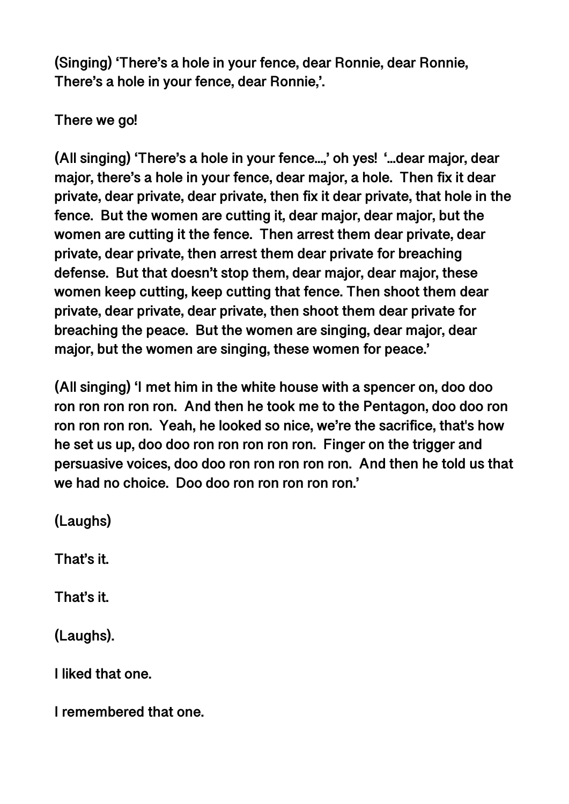**(Singing) 'There's a hole in your fence, dear Ronnie, dear Ronnie, There's a hole in your fence, dear Ronnie,'.** 

**There we go!** 

**(All singing) 'There's a hole in your fence...,' oh yes! '...dear major, dear major, there's a hole in your fence, dear major, a hole. Then fix it dear private, dear private, dear private, then fix it dear private, that hole in the fence. But the women are cutting it, dear major, dear major, but the women are cutting it the fence. Then arrest them dear private, dear private, dear private, then arrest them dear private for breaching defense. But that doesn't stop them, dear major, dear major, these women keep cutting, keep cutting that fence. Then shoot them dear private, dear private, dear private, then shoot them dear private for breaching the peace. But the women are singing, dear major, dear major, but the women are singing, these women for peace.'** 

**(All singing) 'I met him in the white house with a spencer on, doo doo ron ron ron ron ron. And then he took me to the Pentagon, doo doo ron ron ron ron ron. Yeah, he looked so nice, we're the sacrifice, that's how he set us up, doo doo ron ron ron ron ron. Finger on the trigger and persuasive voices, doo doo ron ron ron ron ron. And then he told us that we had no choice. Doo doo ron ron ron ron ron.'** 

**(Laughs)** 

**That's it.** 

**That's it.** 

**(Laughs).** 

**I liked that one.** 

**I remembered that one.**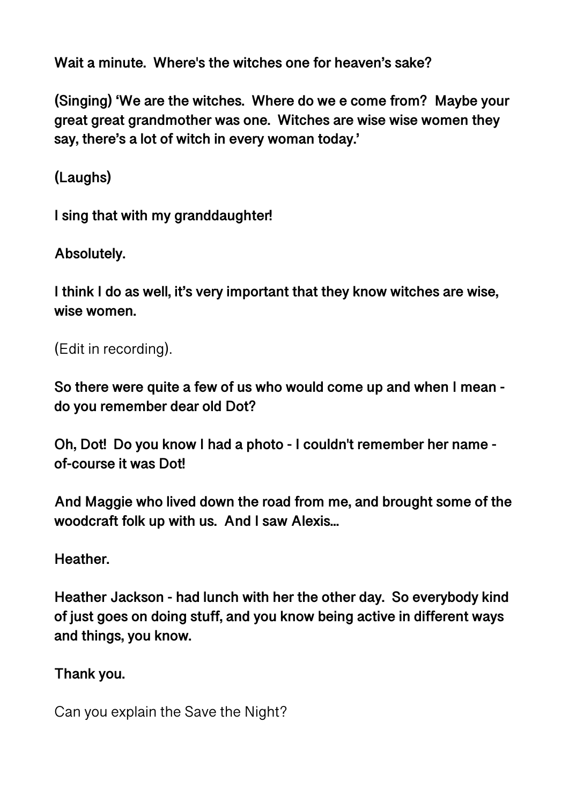**Wait a minute. Where's the witches one for heaven's sake?** 

**(Singing) 'We are the witches. Where do we e come from? Maybe your great great grandmother was one. Witches are wise wise women they say, there's a lot of witch in every woman today.'** 

**(Laughs)** 

**I sing that with my granddaughter!** 

**Absolutely.** 

**I think I do as well, it's very important that they know witches are wise, wise women.** 

```
(Edit in recording).
```
**So there were quite a few of us who would come up and when I mean do you remember dear old Dot?** 

**Oh, Dot! Do you know I had a photo - I couldn't remember her name of-course it was Dot!** 

**And Maggie who lived down the road from me, and brought some of the woodcraft folk up with us. And I saw Alexis...** 

**Heather.** 

**Heather Jackson - had lunch with her the other day. So everybody kind of just goes on doing stuff, and you know being active in different ways and things, you know.** 

**Thank you.** 

Can you explain the Save the Night?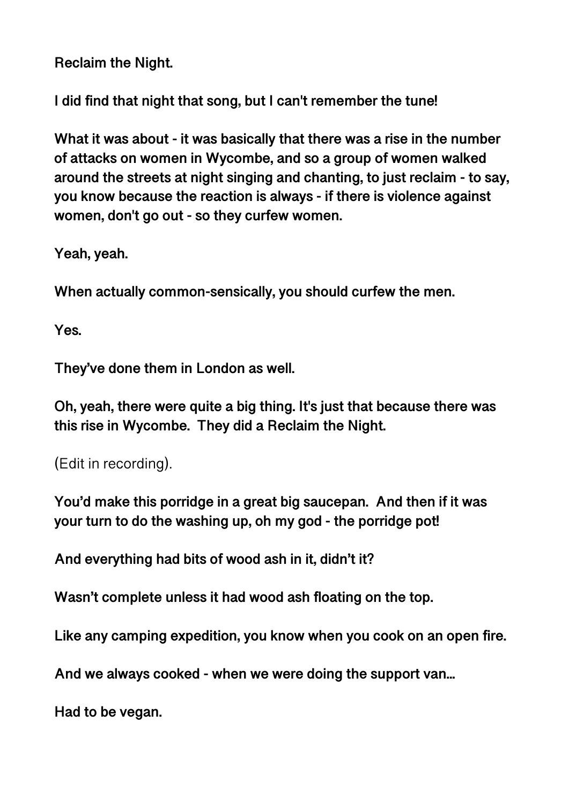**Reclaim the Night.** 

**I did find that night that song, but I can't remember the tune!** 

**What it was about - it was basically that there was a rise in the number of attacks on women in Wycombe, and so a group of women walked around the streets at night singing and chanting, to just reclaim - to say, you know because the reaction is always - if there is violence against women, don't go out - so they curfew women.** 

**Yeah, yeah.** 

**When actually common-sensically, you should curfew the men.** 

**Yes.** 

**They've done them in London as well.** 

**Oh, yeah, there were quite a big thing. It's just that because there was this rise in Wycombe. They did a Reclaim the Night.** 

(Edit in recording).

**You'd make this porridge in a great big saucepan. And then if it was your turn to do the washing up, oh my god - the porridge pot!** 

**And everything had bits of wood ash in it, didn't it?** 

**Wasn't complete unless it had wood ash floating on the top.** 

**Like any camping expedition, you know when you cook on an open fire.** 

**And we always cooked - when we were doing the support van...** 

**Had to be vegan.**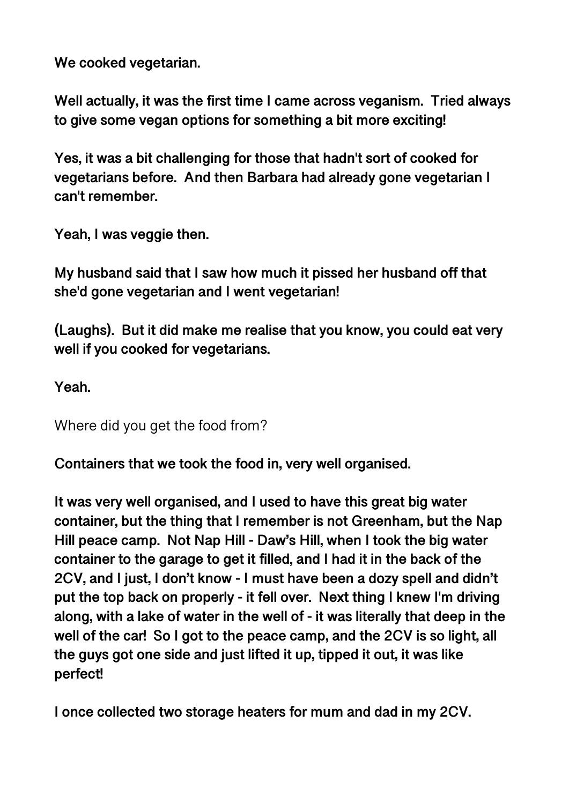**We cooked vegetarian.** 

**Well actually, it was the first time I came across veganism. Tried always to give some vegan options for something a bit more exciting!** 

**Yes, it was a bit challenging for those that hadn't sort of cooked for vegetarians before. And then Barbara had already gone vegetarian I can't remember.** 

**Yeah, I was veggie then.** 

**My husband said that I saw how much it pissed her husband off that she'd gone vegetarian and I went vegetarian!** 

**(Laughs). But it did make me realise that you know, you could eat very well if you cooked for vegetarians.** 

**Yeah.** 

Where did you get the food from?

**Containers that we took the food in, very well organised.** 

**It was very well organised, and I used to have this great big water container, but the thing that I remember is not Greenham, but the Nap Hill peace camp. Not Nap Hill - Daw's Hill, when I took the big water container to the garage to get it filled, and I had it in the back of the 2CV, and I just, I don't know - I must have been a dozy spell and didn't put the top back on properly - it fell over. Next thing I knew I'm driving along, with a lake of water in the well of - it was literally that deep in the well of the car! So I got to the peace camp, and the 2CV is so light, all the guys got one side and just lifted it up, tipped it out, it was like perfect!** 

**I once collected two storage heaters for mum and dad in my 2CV.**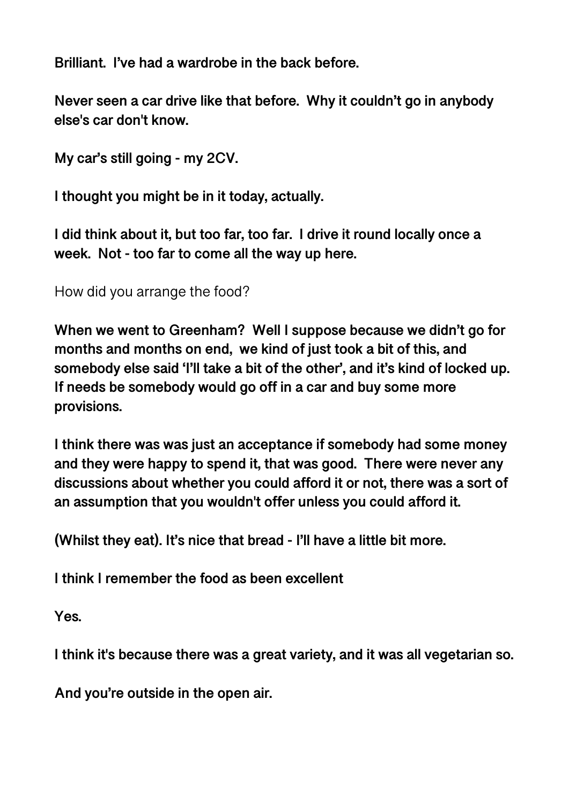**Brilliant. I've had a wardrobe in the back before.** 

**Never seen a car drive like that before. Why it couldn't go in anybody else's car don't know.** 

**My car's still going - my 2CV.** 

**I thought you might be in it today, actually.** 

**I did think about it, but too far, too far. I drive it round locally once a week. Not - too far to come all the way up here.** 

How did you arrange the food?

**When we went to Greenham? Well I suppose because we didn't go for months and months on end, we kind of just took a bit of this, and somebody else said 'I'll take a bit of the other', and it's kind of locked up. If needs be somebody would go off in a car and buy some more provisions.** 

**I think there was was just an acceptance if somebody had some money and they were happy to spend it, that was good. There were never any discussions about whether you could afford it or not, there was a sort of an assumption that you wouldn't offer unless you could afford it.** 

**(Whilst they eat). It's nice that bread - I'll have a little bit more.** 

**I think I remember the food as been excellent** 

**Yes.** 

**I think it's because there was a great variety, and it was all vegetarian so.** 

**And you're outside in the open air.**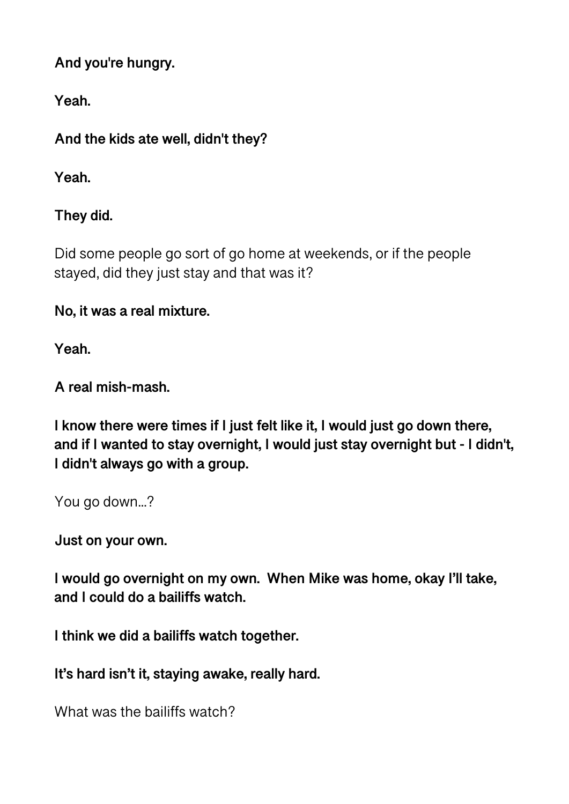**And you're hungry.** 

**Yeah.**

**And the kids ate well, didn't they?** 

**Yeah.** 

**They did.** 

Did some people go sort of go home at weekends, or if the people stayed, did they just stay and that was it?

**No, it was a real mixture.** 

**Yeah.** 

**A real mish-mash.** 

**I know there were times if I just felt like it, I would just go down there, and if I wanted to stay overnight, I would just stay overnight but - I didn't, I didn't always go with a group.** 

You go down...?

**Just on your own.** 

**I would go overnight on my own. When Mike was home, okay I'll take, and I could do a bailiffs watch.** 

**I think we did a bailiffs watch together.** 

**It's hard isn't it, staying awake, really hard.** 

What was the bailiffs watch?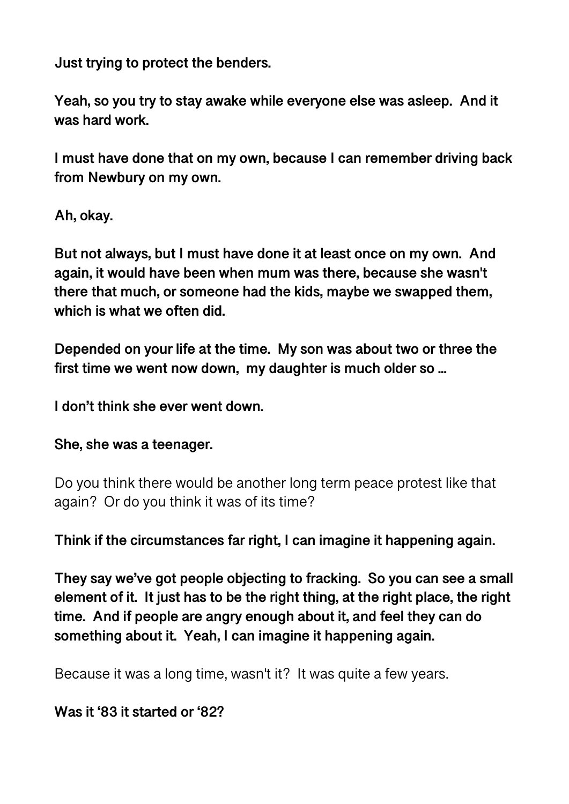**Just trying to protect the benders.** 

**Yeah, so you try to stay awake while everyone else was asleep. And it was hard work.** 

**I must have done that on my own, because I can remember driving back from Newbury on my own.** 

**Ah, okay.** 

**But not always, but I must have done it at least once on my own. And again, it would have been when mum was there, because she wasn't there that much, or someone had the kids, maybe we swapped them, which is what we often did.** 

**Depended on your life at the time. My son was about two or three the first time we went now down, my daughter is much older so ...** 

**I don't think she ever went down.** 

**She, she was a teenager.** 

Do you think there would be another long term peace protest like that again? Or do you think it was of its time?

**Think if the circumstances far right, I can imagine it happening again.** 

**They say we've got people objecting to fracking. So you can see a small element of it. It just has to be the right thing, at the right place, the right time. And if people are angry enough about it, and feel they can do something about it. Yeah, I can imagine it happening again.** 

Because it was a long time, wasn't it? It was quite a few years.

**Was it '83 it started or '82?**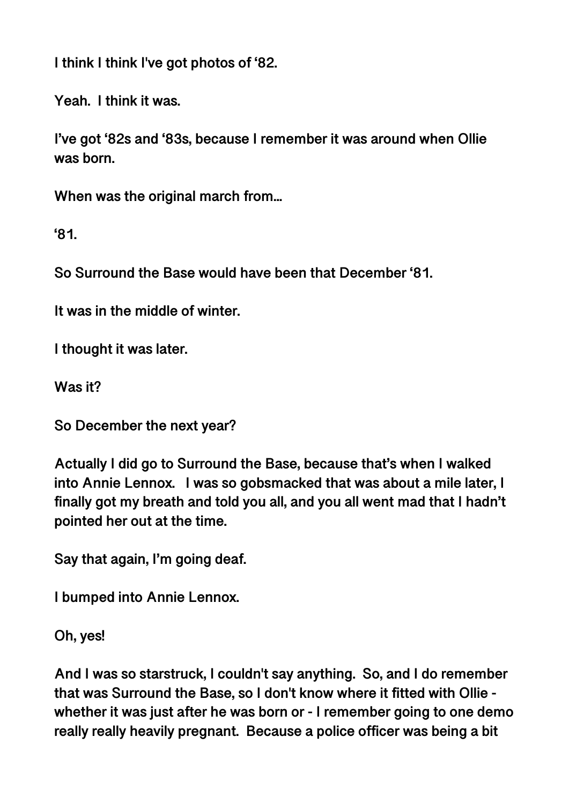**I think I think I've got photos of '82.** 

**Yeah. I think it was.** 

**I've got '82s and '83s, because I remember it was around when Ollie was born.** 

**When was the original march from...** 

**'81.** 

**So Surround the Base would have been that December '81.** 

**It was in the middle of winter.** 

**I thought it was later.** 

**Was it?** 

**So December the next year?** 

**Actually I did go to Surround the Base, because that's when I walked into Annie Lennox. I was so gobsmacked that was about a mile later, I finally got my breath and told you all, and you all went mad that I hadn't pointed her out at the time.** 

**Say that again, I'm going deaf.** 

**I bumped into Annie Lennox.** 

**Oh, yes!** 

**And I was so starstruck, I couldn't say anything. So, and I do remember that was Surround the Base, so I don't know where it fitted with Ollie whether it was just after he was born or - I remember going to one demo really really heavily pregnant. Because a police officer was being a bit**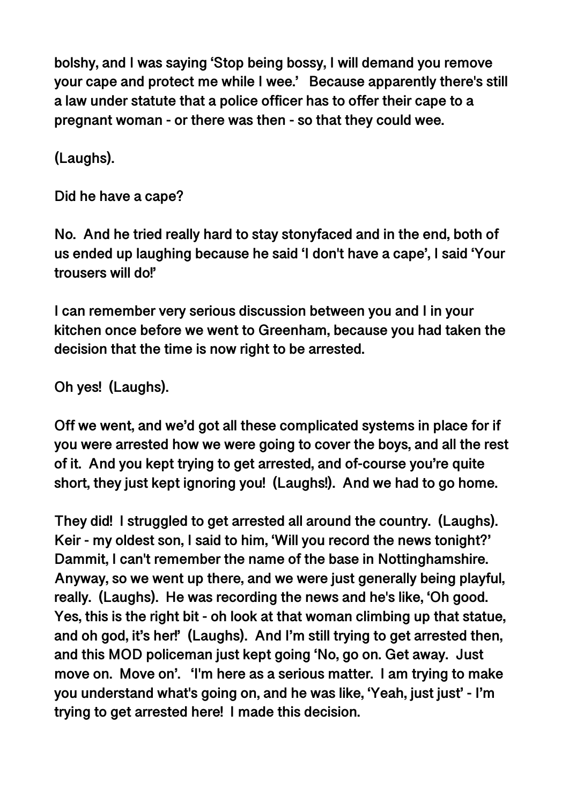**bolshy, and I was saying 'Stop being bossy, I will demand you remove your cape and protect me while I wee.' Because apparently there's still a law under statute that a police officer has to offer their cape to a pregnant woman - or there was then - so that they could wee.** 

**(Laughs).** 

**Did he have a cape?** 

**No. And he tried really hard to stay stonyfaced and in the end, both of us ended up laughing because he said 'I don't have a cape', I said 'Your trousers will do!'** 

**I can remember very serious discussion between you and I in your kitchen once before we went to Greenham, because you had taken the decision that the time is now right to be arrested.** 

**Oh yes! (Laughs).** 

**Off we went, and we'd got all these complicated systems in place for if you were arrested how we were going to cover the boys, and all the rest of it. And you kept trying to get arrested, and of-course you're quite short, they just kept ignoring you! (Laughs!). And we had to go home.** 

**They did! I struggled to get arrested all around the country. (Laughs). Keir - my oldest son, I said to him, 'Will you record the news tonight?' Dammit, I can't remember the name of the base in Nottinghamshire. Anyway, so we went up there, and we were just generally being playful, really. (Laughs). He was recording the news and he's like, 'Oh good. Yes, this is the right bit - oh look at that woman climbing up that statue, and oh god, it's her!' (Laughs). And I'm still trying to get arrested then, and this MOD policeman just kept going 'No, go on. Get away. Just move on. Move on'. 'I'm here as a serious matter. I am trying to make you understand what's going on, and he was like, 'Yeah, just just' - I'm trying to get arrested here! I made this decision.**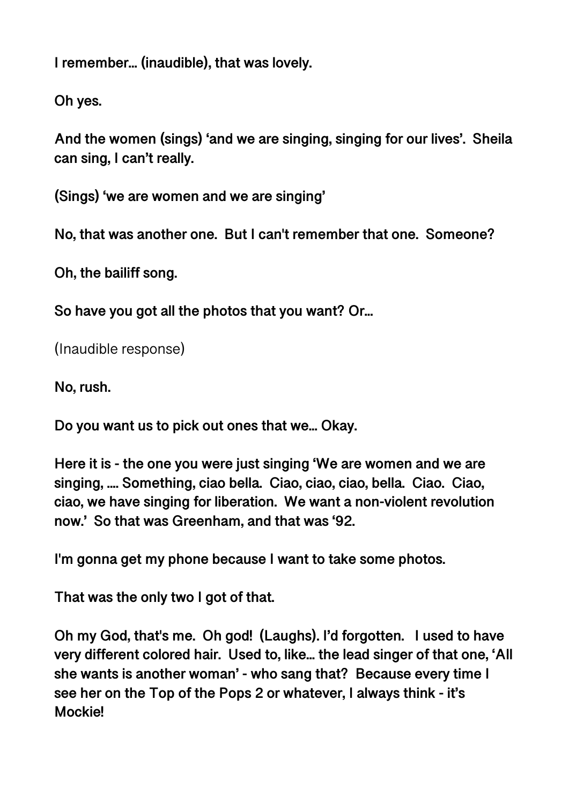**I remember... (inaudible), that was lovely.** 

**Oh yes.** 

**And the women (sings) 'and we are singing, singing for our lives'. Sheila can sing, I can't really.** 

**(Sings) 'we are women and we are singing'** 

**No, that was another one. But I can't remember that one. Someone?** 

**Oh, the bailiff song.** 

**So have you got all the photos that you want? Or...** 

(Inaudible response)

**No, rush.** 

**Do you want us to pick out ones that we... Okay.** 

**Here it is - the one you were just singing 'We are women and we are singing, .... Something, ciao bella. Ciao, ciao, ciao, bella. Ciao. Ciao, ciao, we have singing for liberation. We want a non-violent revolution now.' So that was Greenham, and that was '92.** 

**I'm gonna get my phone because I want to take some photos.** 

**That was the only two I got of that.** 

**Oh my God, that's me. Oh god! (Laughs). I'd forgotten. I used to have very different colored hair. Used to, like... the lead singer of that one, 'All she wants is another woman' - who sang that? Because every time I see her on the Top of the Pops 2 or whatever, I always think - it's Mockie!**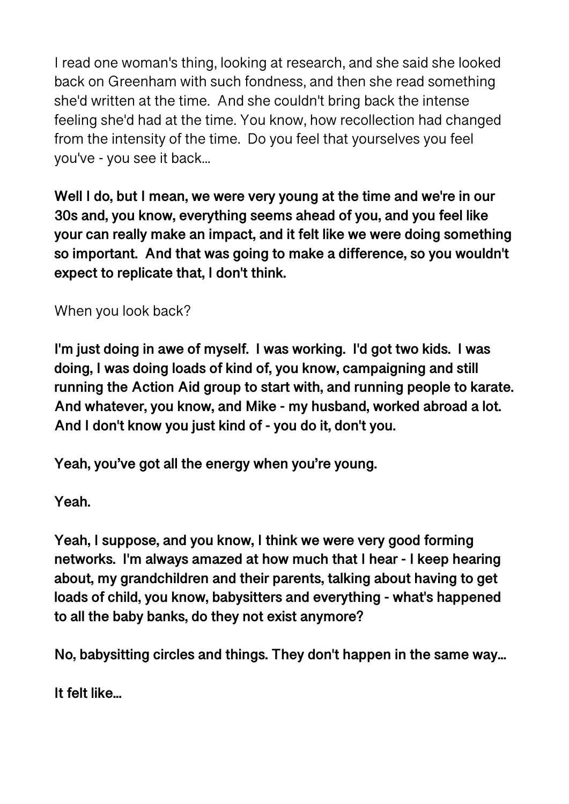I read one woman's thing, looking at research, and she said she looked back on Greenham with such fondness, and then she read something she'd written at the time. And she couldn't bring back the intense feeling she'd had at the time. You know, how recollection had changed from the intensity of the time. Do you feel that yourselves you feel you've - you see it back...

**Well I do, but I mean, we were very young at the time and we're in our 30s and, you know, everything seems ahead of you, and you feel like your can really make an impact, and it felt like we were doing something so important. And that was going to make a difference, so you wouldn't expect to replicate that, I don't think.** 

When you look back?

**I'm just doing in awe of myself. I was working. I'd got two kids. I was doing, I was doing loads of kind of, you know, campaigning and still running the Action Aid group to start with, and running people to karate. And whatever, you know, and Mike - my husband, worked abroad a lot. And I don't know you just kind of - you do it, don't you.** 

**Yeah, you've got all the energy when you're young.** 

**Yeah.** 

**Yeah, I suppose, and you know, I think we were very good forming networks. I'm always amazed at how much that I hear - I keep hearing about, my grandchildren and their parents, talking about having to get loads of child, you know, babysitters and everything - what's happened to all the baby banks, do they not exist anymore?** 

**No, babysitting circles and things. They don't happen in the same way...** 

**It felt like...**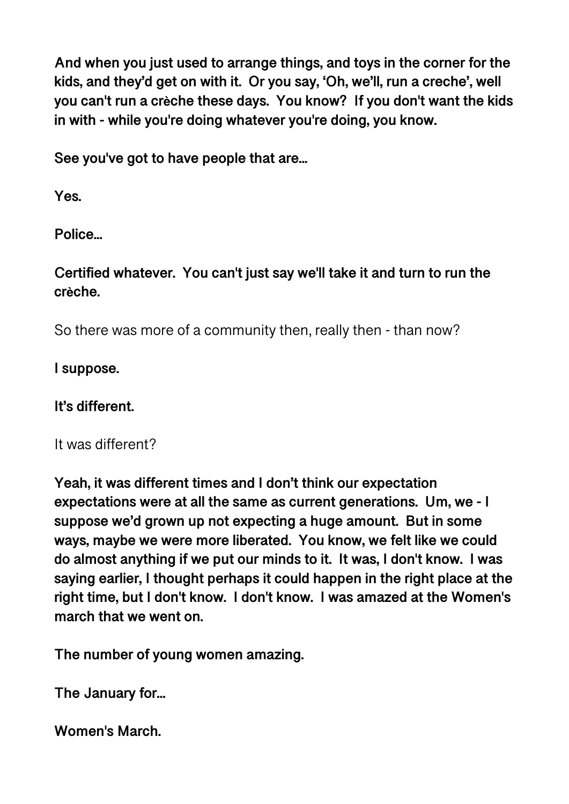**And when you just used to arrange things, and toys in the corner for the kids, and they'd get on with it. Or you say, 'Oh, we'll, run a creche', well you can't run a crèche these days. You know? If you don't want the kids in with - while you're doing whatever you're doing, you know.** 

**See you've got to have people that are...** 

**Yes.** 

**Police...** 

**Certified whatever. You can't just say we'll take it and turn to run the crèche.** 

So there was more of a community then, really then - than now?

**I suppose.** 

**It's different.** 

It was different?

**Yeah, it was different times and I don't think our expectation expectations were at all the same as current generations. Um, we - I suppose we'd grown up not expecting a huge amount. But in some ways, maybe we were more liberated. You know, we felt like we could do almost anything if we put our minds to it. It was, I don't know. I was saying earlier, I thought perhaps it could happen in the right place at the right time, but I don't know. I don't know. I was amazed at the Women's march that we went on.** 

**The number of young women amazing.** 

**The January for...** 

**Women's March.**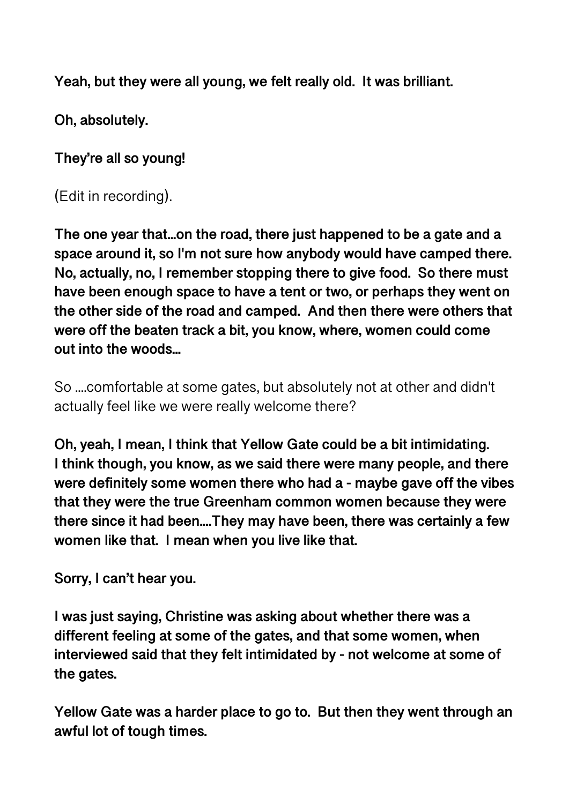**Yeah, but they were all young, we felt really old. It was brilliant.** 

**Oh, absolutely.** 

**They're all so young!** 

(Edit in recording).

**The one year that...on the road, there just happened to be a gate and a space around it, so I'm not sure how anybody would have camped there. No, actually, no, I remember stopping there to give food. So there must have been enough space to have a tent or two, or perhaps they went on the other side of the road and camped. And then there were others that were off the beaten track a bit, you know, where, women could come out into the woods...** 

So ....comfortable at some gates, but absolutely not at other and didn't actually feel like we were really welcome there?

**Oh, yeah, I mean, I think that Yellow Gate could be a bit intimidating. I think though, you know, as we said there were many people, and there were definitely some women there who had a - maybe gave off the vibes that they were the true Greenham common women because they were there since it had been....They may have been, there was certainly a few women like that. I mean when you live like that.** 

**Sorry, I can't hear you.** 

**I was just saying, Christine was asking about whether there was a different feeling at some of the gates, and that some women, when interviewed said that they felt intimidated by - not welcome at some of the gates.** 

**Yellow Gate was a harder place to go to. But then they went through an awful lot of tough times.**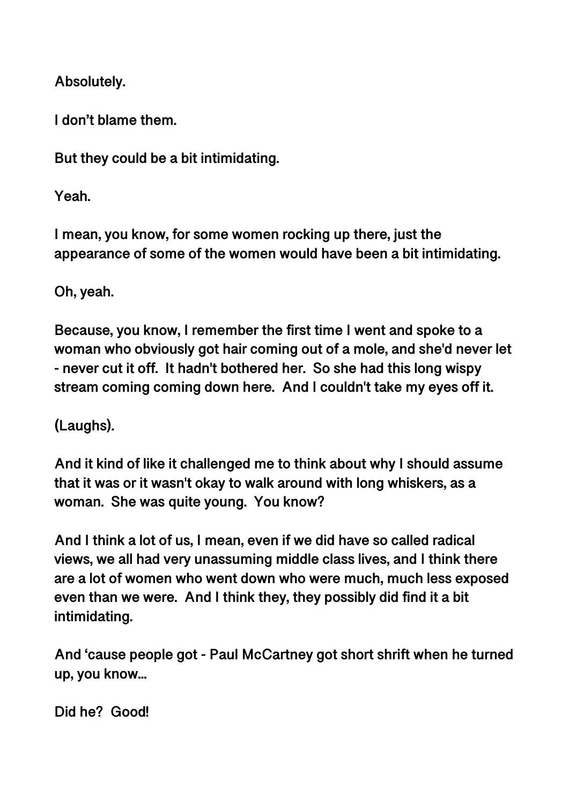**Absolutely.** 

**I don't blame them.** 

**But they could be a bit intimidating.** 

**Yeah.** 

**I mean, you know, for some women rocking up there, just the appearance of some of the women would have been a bit intimidating.** 

**Oh, yeah.** 

**Because, you know, I remember the first time I went and spoke to a woman who obviously got hair coming out of a mole, and she'd never let - never cut it off. It hadn't bothered her. So she had this long wispy stream coming coming down here. And I couldn't take my eyes off it.** 

**(Laughs).** 

**And it kind of like it challenged me to think about why I should assume that it was or it wasn't okay to walk around with long whiskers, as a woman. She was quite young. You know?** 

**And I think a lot of us, I mean, even if we did have so called radical views, we all had very unassuming middle class lives, and I think there are a lot of women who went down who were much, much less exposed even than we were. And I think they, they possibly did find it a bit intimidating.** 

**And 'cause people got - Paul McCartney got short shrift when he turned up, you know...** 

**Did he? Good!**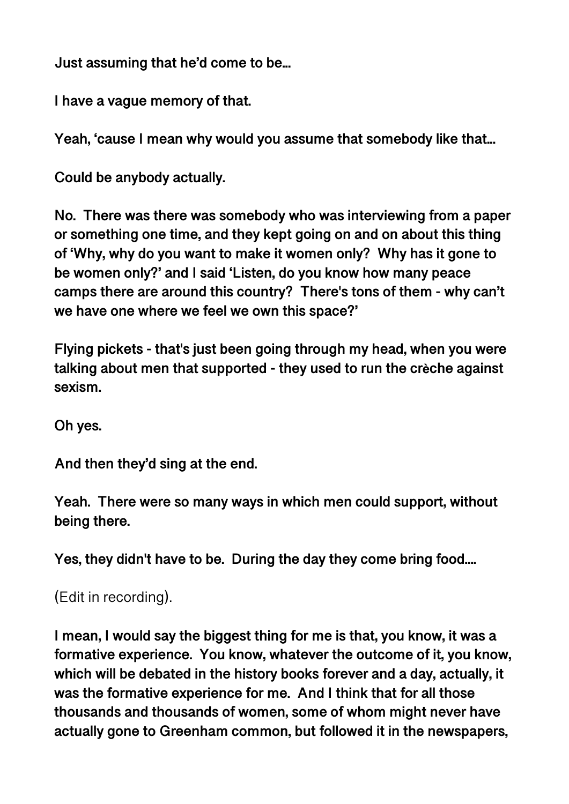**Just assuming that he'd come to be...** 

**I have a vague memory of that.** 

**Yeah, 'cause I mean why would you assume that somebody like that...** 

**Could be anybody actually.** 

**No. There was there was somebody who was interviewing from a paper or something one time, and they kept going on and on about this thing of 'Why, why do you want to make it women only? Why has it gone to be women only?' and I said 'Listen, do you know how many peace camps there are around this country? There's tons of them - why can't we have one where we feel we own this space?'** 

**Flying pickets - that's just been going through my head, when you were talking about men that supported - they used to run the crèche against sexism.** 

**Oh yes.** 

**And then they'd sing at the end.** 

**Yeah. There were so many ways in which men could support, without being there.** 

**Yes, they didn't have to be. During the day they come bring food....** 

(Edit in recording).

**I mean, I would say the biggest thing for me is that, you know, it was a formative experience. You know, whatever the outcome of it, you know, which will be debated in the history books forever and a day, actually, it was the formative experience for me. And I think that for all those thousands and thousands of women, some of whom might never have actually gone to Greenham common, but followed it in the newspapers,**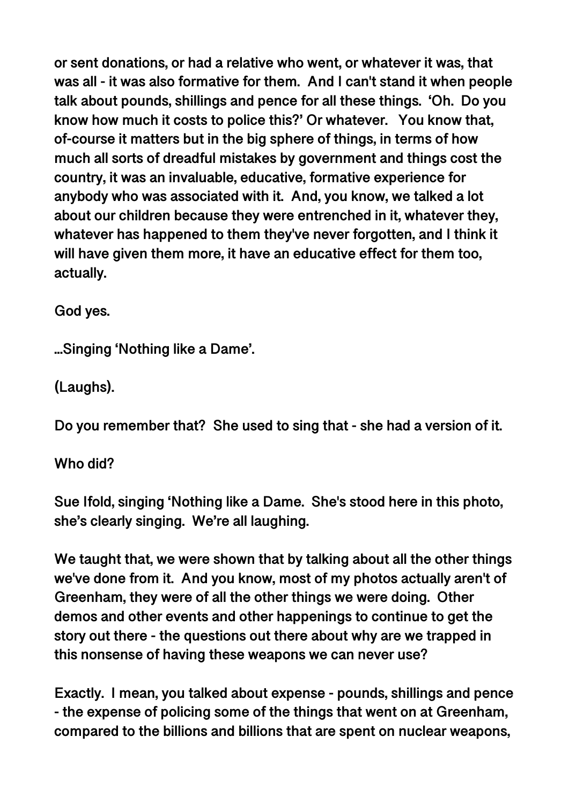**or sent donations, or had a relative who went, or whatever it was, that was all - it was also formative for them. And I can't stand it when people talk about pounds, shillings and pence for all these things. 'Oh. Do you know how much it costs to police this?' Or whatever. You know that, of-course it matters but in the big sphere of things, in terms of how much all sorts of dreadful mistakes by government and things cost the country, it was an invaluable, educative, formative experience for anybody who was associated with it. And, you know, we talked a lot about our children because they were entrenched in it, whatever they, whatever has happened to them they've never forgotten, and I think it will have given them more, it have an educative effect for them too, actually.** 

**God yes.** 

**...Singing 'Nothing like a Dame'.** 

**(Laughs).** 

**Do you remember that? She used to sing that - she had a version of it.** 

**Who did?** 

**Sue Ifold, singing 'Nothing like a Dame. She's stood here in this photo, she's clearly singing. We're all laughing.** 

**We taught that, we were shown that by talking about all the other things we've done from it. And you know, most of my photos actually aren't of Greenham, they were of all the other things we were doing. Other demos and other events and other happenings to continue to get the story out there - the questions out there about why are we trapped in this nonsense of having these weapons we can never use?** 

**Exactly. I mean, you talked about expense - pounds, shillings and pence - the expense of policing some of the things that went on at Greenham, compared to the billions and billions that are spent on nuclear weapons,**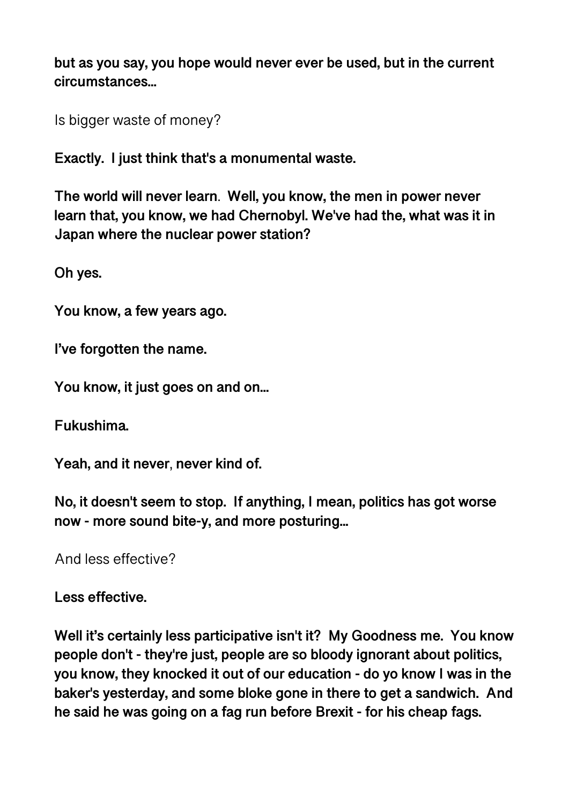**but as you say, you hope would never ever be used, but in the current circumstances...** 

Is bigger waste of money?

**Exactly. I just think that's a monumental waste.** 

**The world will never learn**. **Well, you know, the men in power never learn that, you know, we had Chernobyl. We've had the, what was it in Japan where the nuclear power station?** 

**Oh yes.** 

**You know, a few years ago.** 

**I've forgotten the name.** 

**You know, it just goes on and on...** 

**Fukushima.** 

**Yeah, and it never**, **never kind of.** 

**No, it doesn't seem to stop. If anything, I mean, politics has got worse now - more sound bite-y, and more posturing...** 

And less effective?

**Less effective.** 

**Well it's certainly less participative isn't it? My Goodness me. You know people don't - they're just, people are so bloody ignorant about politics, you know, they knocked it out of our education - do yo know I was in the baker's yesterday, and some bloke gone in there to get a sandwich. And he said he was going on a fag run before Brexit - for his cheap fags.**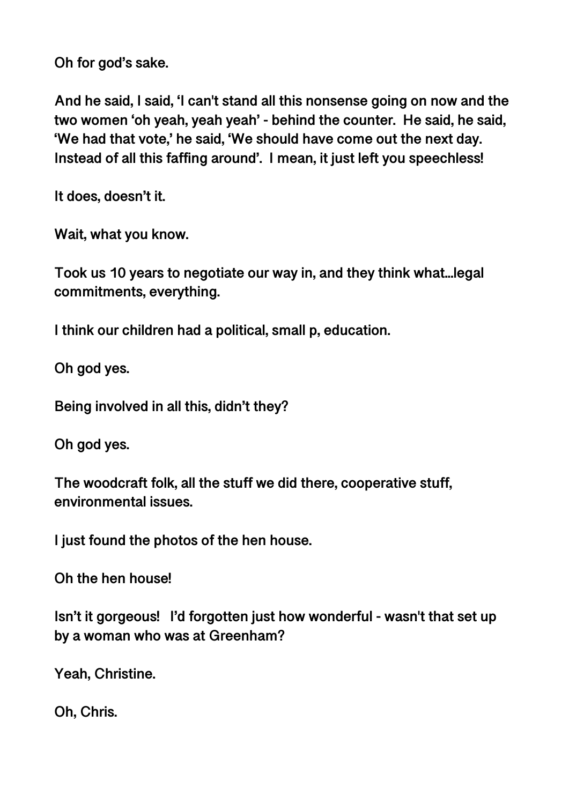**Oh for god's sake.** 

**And he said, I said, 'I can't stand all this nonsense going on now and the two women 'oh yeah, yeah yeah' - behind the counter. He said, he said, 'We had that vote,' he said, 'We should have come out the next day. Instead of all this faffing around'. I mean, it just left you speechless!** 

**It does, doesn't it.** 

**Wait, what you know.** 

**Took us 10 years to negotiate our way in, and they think what...legal commitments, everything.** 

**I think our children had a political, small p, education.** 

**Oh god yes.** 

**Being involved in all this, didn't they?** 

**Oh god yes.** 

**The woodcraft folk, all the stuff we did there, cooperative stuff, environmental issues.** 

**I just found the photos of the hen house.** 

**Oh the hen house!** 

**Isn't it gorgeous! I'd forgotten just how wonderful - wasn't that set up by a woman who was at Greenham?** 

**Yeah, Christine.** 

**Oh, Chris.**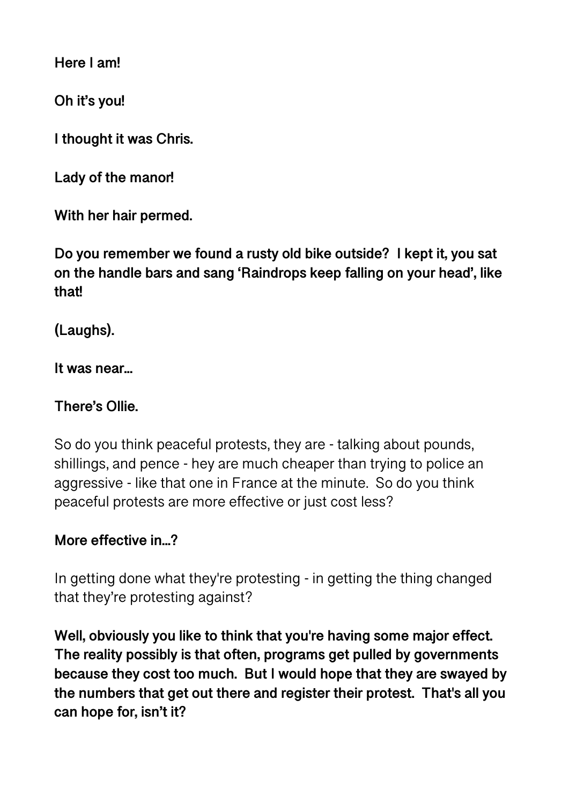**Here I am!** 

**Oh it's you!** 

**I thought it was Chris.** 

**Lady of the manor!** 

**With her hair permed.** 

**Do you remember we found a rusty old bike outside? I kept it, you sat on the handle bars and sang 'Raindrops keep falling on your head', like that!** 

**(Laughs).** 

**It was near...** 

#### **There's Ollie.**

So do you think peaceful protests, they are - talking about pounds, shillings, and pence - hey are much cheaper than trying to police an aggressive - like that one in France at the minute. So do you think peaceful protests are more effective or just cost less?

#### **More effective in...?**

In getting done what they're protesting - in getting the thing changed that they're protesting against?

**Well, obviously you like to think that you're having some major effect. The reality possibly is that often, programs get pulled by governments because they cost too much. But I would hope that they are swayed by the numbers that get out there and register their protest. That's all you can hope for, isn't it?**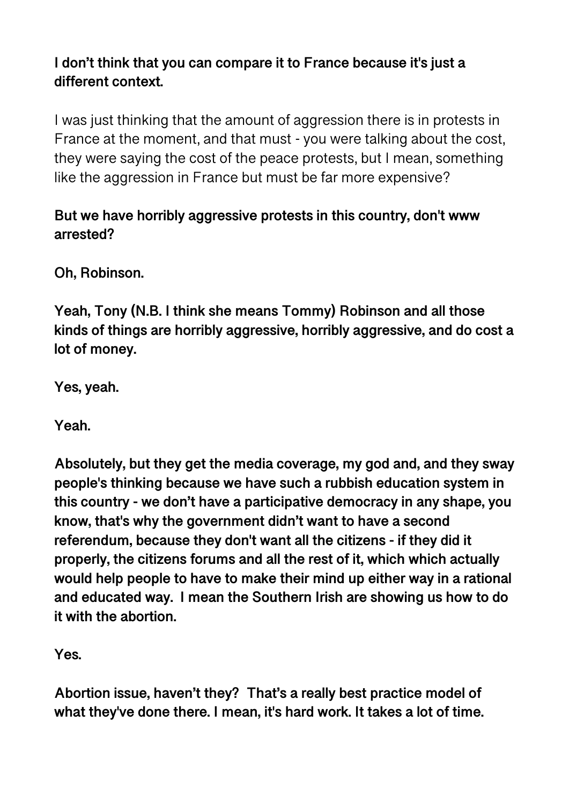## **I don't think that you can compare it to France because it's just a different context.**

I was just thinking that the amount of aggression there is in protests in France at the moment, and that must - you were talking about the cost, they were saying the cost of the peace protests, but I mean, something like the aggression in France but must be far more expensive?

## **But we have horribly aggressive protests in this country, don't www arrested?**

**Oh, Robinson.** 

**Yeah, Tony (N.B. I think she means Tommy) Robinson and all those kinds of things are horribly aggressive, horribly aggressive, and do cost a lot of money.** 

**Yes, yeah.** 

**Yeah.** 

**Absolutely, but they get the media coverage, my god and, and they sway people's thinking because we have such a rubbish education system in this country - we don't have a participative democracy in any shape, you know, that's why the government didn't want to have a second referendum, because they don't want all the citizens - if they did it properly, the citizens forums and all the rest of it, which which actually would help people to have to make their mind up either way in a rational and educated way. I mean the Southern Irish are showing us how to do it with the abortion.** 

**Yes.** 

**Abortion issue, haven't they? That's a really best practice model of what they've done there. I mean, it's hard work. It takes a lot of time.**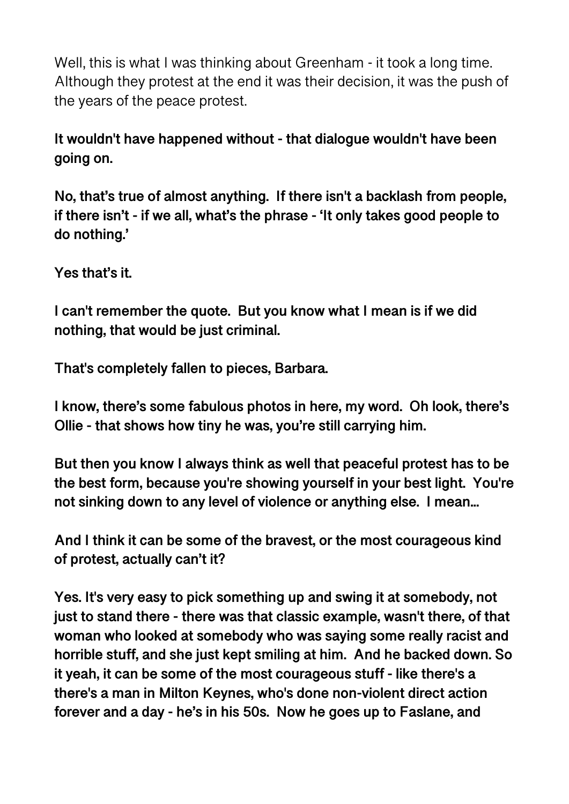Well, this is what I was thinking about Greenham - it took a long time. Although they protest at the end it was their decision, it was the push of the years of the peace protest.

**It wouldn't have happened without - that dialogue wouldn't have been going on.** 

**No, that's true of almost anything. If there isn't a backlash from people, if there isn't - if we all, what's the phrase - 'It only takes good people to do nothing.'** 

**Yes that's it.** 

**I can't remember the quote. But you know what I mean is if we did nothing, that would be just criminal.** 

**That's completely fallen to pieces, Barbara.** 

**I know, there's some fabulous photos in here, my word. Oh look, there's Ollie - that shows how tiny he was, you're still carrying him.** 

**But then you know I always think as well that peaceful protest has to be the best form, because you're showing yourself in your best light. You're not sinking down to any level of violence or anything else. I mean...** 

**And I think it can be some of the bravest, or the most courageous kind of protest, actually can't it?** 

**Yes. It's very easy to pick something up and swing it at somebody, not just to stand there - there was that classic example, wasn't there, of that woman who looked at somebody who was saying some really racist and horrible stuff, and she just kept smiling at him. And he backed down. So it yeah, it can be some of the most courageous stuff - like there's a there's a man in Milton Keynes, who's done non-violent direct action forever and a day - he's in his 50s. Now he goes up to Faslane, and**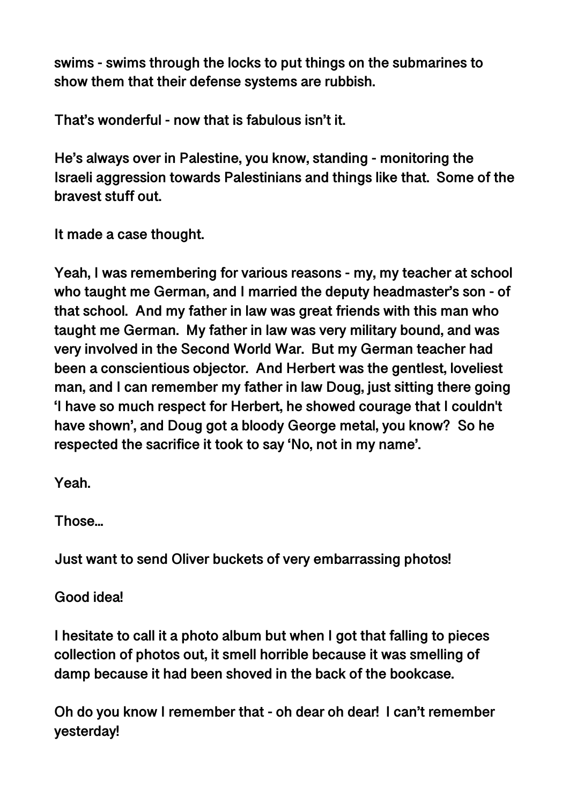**swims - swims through the locks to put things on the submarines to show them that their defense systems are rubbish.** 

**That's wonderful - now that is fabulous isn't it.** 

**He's always over in Palestine, you know, standing - monitoring the Israeli aggression towards Palestinians and things like that. Some of the bravest stuff out.** 

**It made a case thought.** 

**Yeah, I was remembering for various reasons - my, my teacher at school who taught me German, and I married the deputy headmaster's son - of that school. And my father in law was great friends with this man who taught me German. My father in law was very military bound, and was very involved in the Second World War. But my German teacher had been a conscientious objector. And Herbert was the gentlest, loveliest man, and I can remember my father in law Doug, just sitting there going 'I have so much respect for Herbert, he showed courage that I couldn't have shown', and Doug got a bloody George metal, you know? So he respected the sacrifice it took to say 'No, not in my name'.** 

**Yeah.** 

**Those...** 

**Just want to send Oliver buckets of very embarrassing photos!** 

**Good idea!** 

**I hesitate to call it a photo album but when I got that falling to pieces collection of photos out, it smell horrible because it was smelling of damp because it had been shoved in the back of the bookcase.** 

**Oh do you know I remember that - oh dear oh dear! I can't remember yesterday!**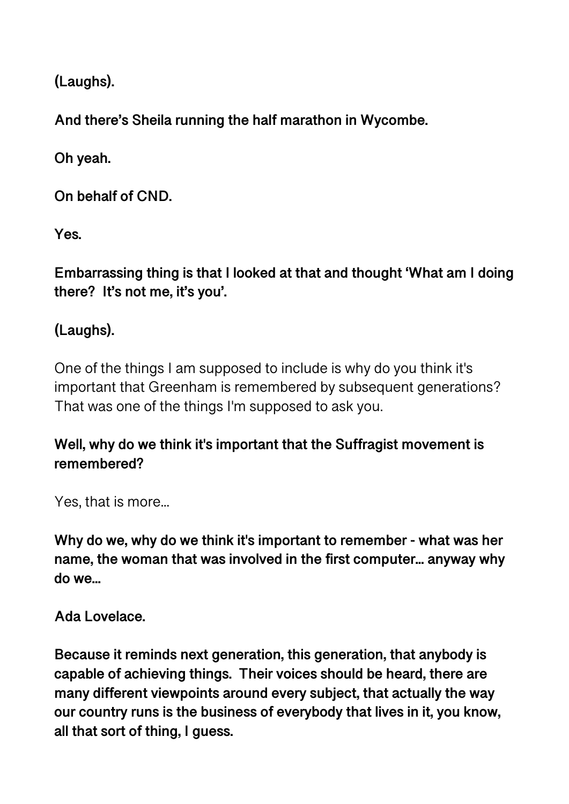**(Laughs).** 

**And there's Sheila running the half marathon in Wycombe.** 

**Oh yeah.** 

**On behalf of CND.** 

**Yes.** 

**Embarrassing thing is that I looked at that and thought 'What am I doing there? It's not me, it's you'.** 

# **(Laughs).**

One of the things I am supposed to include is why do you think it's important that Greenham is remembered by subsequent generations? That was one of the things I'm supposed to ask you.

## **Well, why do we think it's important that the Suffragist movement is remembered?**

Yes, that is more...

**Why do we, why do we think it's important to remember - what was her name, the woman that was involved in the first computer... anyway why do we...** 

**Ada Lovelace.** 

**Because it reminds next generation, this generation, that anybody is capable of achieving things. Their voices should be heard, there are many different viewpoints around every subject, that actually the way our country runs is the business of everybody that lives in it, you know, all that sort of thing, I guess.**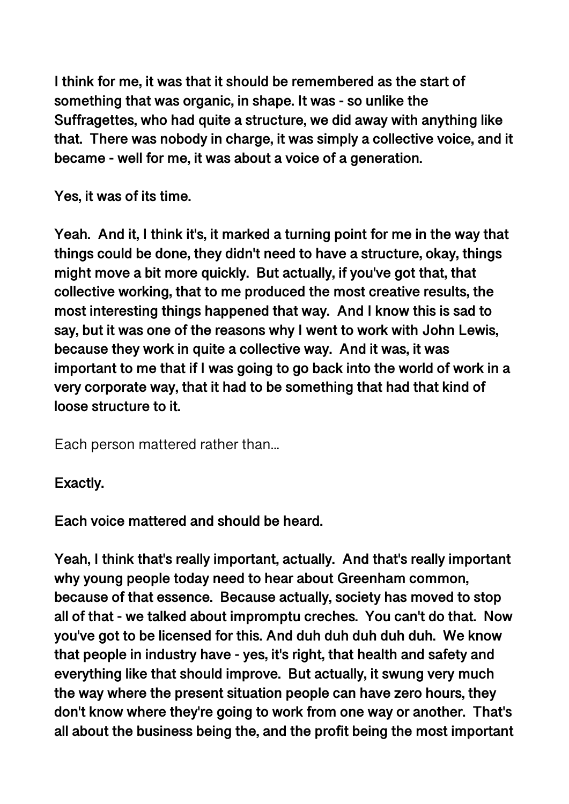**I think for me, it was that it should be remembered as the start of something that was organic, in shape. It was - so unlike the Suffragettes, who had quite a structure, we did away with anything like that. There was nobody in charge, it was simply a collective voice, and it became - well for me, it was about a voice of a generation.** 

**Yes, it was of its time.** 

**Yeah. And it, I think it's, it marked a turning point for me in the way that things could be done, they didn't need to have a structure, okay, things might move a bit more quickly. But actually, if you've got that, that collective working, that to me produced the most creative results, the most interesting things happened that way. And I know this is sad to say, but it was one of the reasons why I went to work with John Lewis, because they work in quite a collective way. And it was, it was important to me that if I was going to go back into the world of work in a very corporate way, that it had to be something that had that kind of loose structure to it.** 

Each person mattered rather than...

### **Exactly.**

**Each voice mattered and should be heard.** 

**Yeah, I think that's really important, actually. And that's really important why young people today need to hear about Greenham common, because of that essence. Because actually, society has moved to stop all of that - we talked about impromptu creches. You can't do that. Now you've got to be licensed for this. And duh duh duh duh duh. We know that people in industry have - yes, it's right, that health and safety and everything like that should improve. But actually, it swung very much the way where the present situation people can have zero hours, they don't know where they're going to work from one way or another. That's all about the business being the, and the profit being the most important**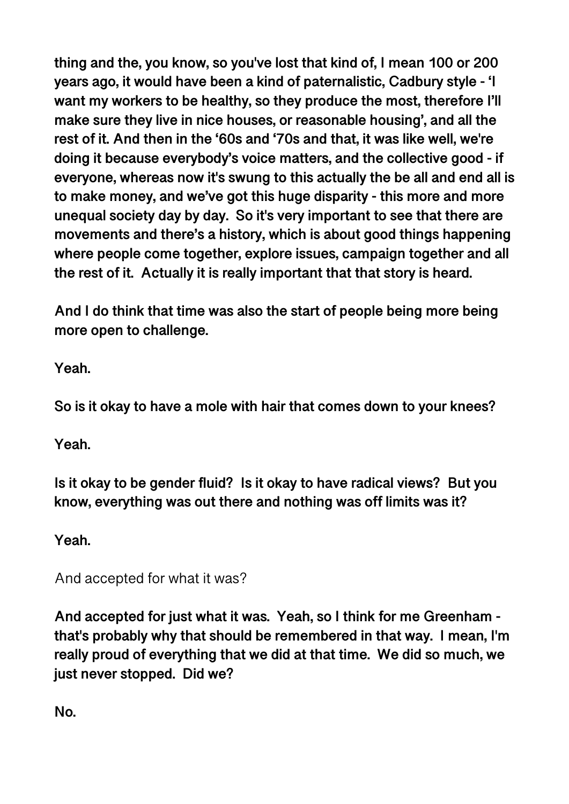**thing and the, you know, so you've lost that kind of, I mean 100 or 200 years ago, it would have been a kind of paternalistic, Cadbury style - 'I want my workers to be healthy, so they produce the most, therefore I'll make sure they live in nice houses, or reasonable housing', and all the rest of it. And then in the '60s and '70s and that, it was like well, we're doing it because everybody's voice matters, and the collective good - if everyone, whereas now it's swung to this actually the be all and end all is to make money, and we've got this huge disparity - this more and more unequal society day by day. So it's very important to see that there are movements and there's a history, which is about good things happening where people come together, explore issues, campaign together and all the rest of it. Actually it is really important that that story is heard.** 

**And I do think that time was also the start of people being more being more open to challenge.** 

**Yeah.** 

**So is it okay to have a mole with hair that comes down to your knees?** 

**Yeah.** 

**Is it okay to be gender fluid? Is it okay to have radical views? But you know, everything was out there and nothing was off limits was it?** 

**Yeah.** 

And accepted for what it was?

**And accepted for just what it was. Yeah, so I think for me Greenham that's probably why that should be remembered in that way. I mean, I'm really proud of everything that we did at that time. We did so much, we just never stopped. Did we?** 

**No.**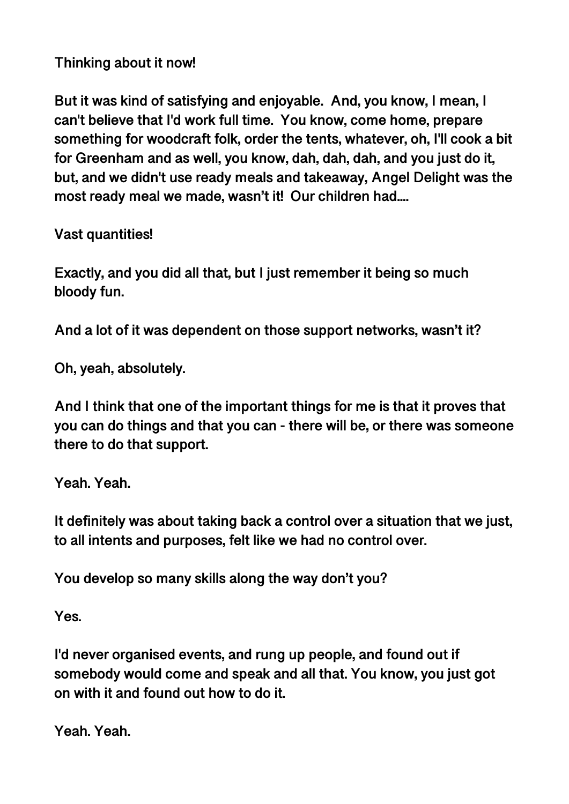**Thinking about it now!** 

**But it was kind of satisfying and enjoyable. And, you know, I mean, I can't believe that I'd work full time. You know, come home, prepare something for woodcraft folk, order the tents, whatever, oh, I'll cook a bit for Greenham and as well, you know, dah, dah, dah, and you just do it, but, and we didn't use ready meals and takeaway, Angel Delight was the most ready meal we made, wasn't it! Our children had....** 

**Vast quantities!** 

**Exactly, and you did all that, but I just remember it being so much bloody fun.** 

**And a lot of it was dependent on those support networks, wasn't it?** 

**Oh, yeah, absolutely.** 

**And I think that one of the important things for me is that it proves that you can do things and that you can - there will be, or there was someone there to do that support.** 

**Yeah. Yeah.** 

**It definitely was about taking back a control over a situation that we just, to all intents and purposes, felt like we had no control over.** 

**You develop so many skills along the way don't you?** 

**Yes.** 

**I'd never organised events, and rung up people, and found out if somebody would come and speak and all that. You know, you just got on with it and found out how to do it.** 

**Yeah. Yeah.**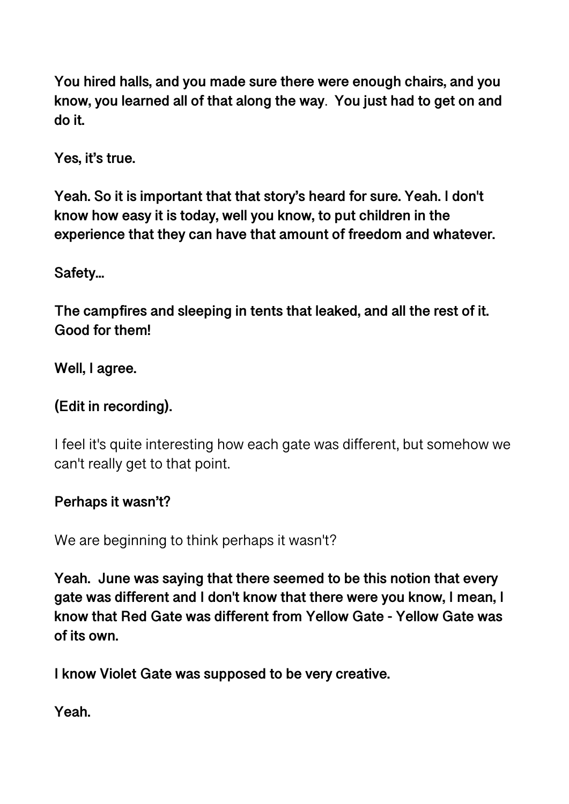**You hired halls, and you made sure there were enough chairs, and you know, you learned all of that along the way**. **You just had to get on and do it.** 

**Yes, it's true.** 

**Yeah. So it is important that that story's heard for sure. Yeah. I don't know how easy it is today, well you know, to put children in the experience that they can have that amount of freedom and whatever.** 

**Safety...** 

**The campfires and sleeping in tents that leaked, and all the rest of it. Good for them!** 

**Well, I agree.** 

## **(Edit in recording).**

I feel it's quite interesting how each gate was different, but somehow we can't really get to that point.

### **Perhaps it wasn't?**

We are beginning to think perhaps it wasn't?

**Yeah. June was saying that there seemed to be this notion that every gate was different and I don't know that there were you know, I mean, I know that Red Gate was different from Yellow Gate - Yellow Gate was of its own.** 

**I know Violet Gate was supposed to be very creative.** 

**Yeah.**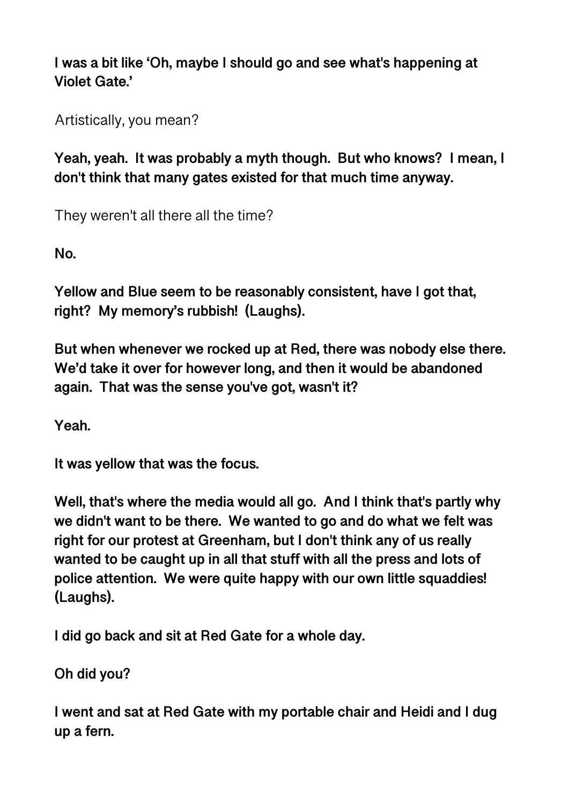**I was a bit like 'Oh, maybe I should go and see what's happening at Violet Gate.'** 

Artistically, you mean?

**Yeah, yeah. It was probably a myth though. But who knows? I mean, I don't think that many gates existed for that much time anyway.** 

They weren't all there all the time?

**No.** 

**Yellow and Blue seem to be reasonably consistent, have I got that, right? My memory's rubbish! (Laughs).** 

**But when whenever we rocked up at Red, there was nobody else there. We'd take it over for however long, and then it would be abandoned again. That was the sense you've got, wasn't it?** 

**Yeah.** 

**It was yellow that was the focus.** 

**Well, that's where the media would all go. And I think that's partly why we didn't want to be there. We wanted to go and do what we felt was right for our protest at Greenham, but I don't think any of us really wanted to be caught up in all that stuff with all the press and lots of police attention. We were quite happy with our own little squaddies! (Laughs).** 

**I did go back and sit at Red Gate for a whole day.** 

**Oh did you?** 

**I went and sat at Red Gate with my portable chair and Heidi and I dug up a fern.**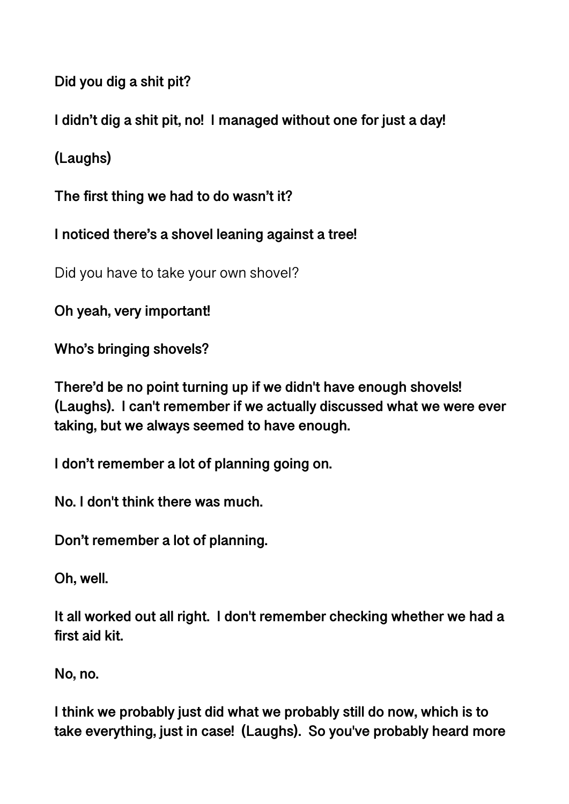**Did you dig a shit pit?** 

**I didn't dig a shit pit, no! I managed without one for just a day!** 

**(Laughs)** 

**The first thing we had to do wasn't it?** 

**I noticed there's a shovel leaning against a tree!** 

Did you have to take your own shovel?

**Oh yeah, very important!** 

**Who's bringing shovels?** 

**There'd be no point turning up if we didn't have enough shovels! (Laughs). I can't remember if we actually discussed what we were ever taking, but we always seemed to have enough.** 

**I don't remember a lot of planning going on.** 

**No. I don't think there was much.** 

**Don't remember a lot of planning.** 

**Oh, well.** 

**It all worked out all right. I don't remember checking whether we had a first aid kit.** 

**No, no.** 

**I think we probably just did what we probably still do now, which is to take everything, just in case! (Laughs). So you've probably heard more**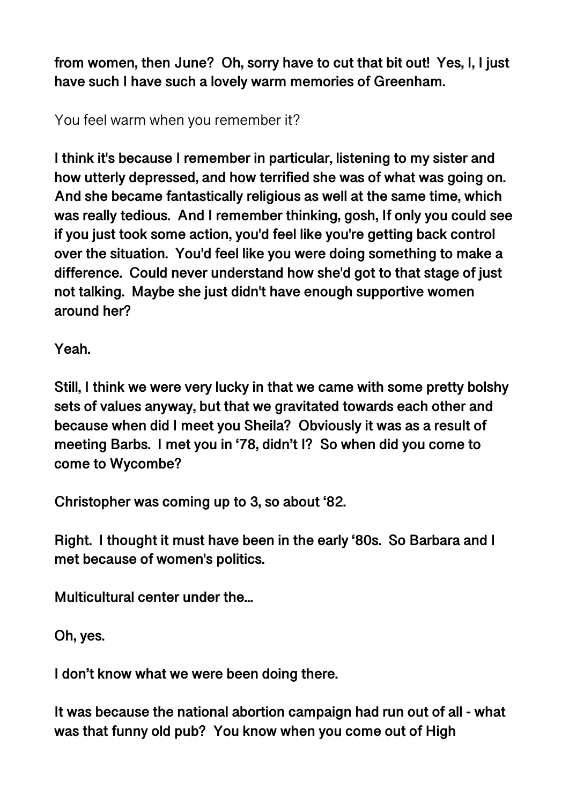**from women, then June? Oh, sorry have to cut that bit out! Yes, I, I just have such I have such a lovely warm memories of Greenham.** 

You feel warm when you remember it?

**I think it's because I remember in particular, listening to my sister and how utterly depressed, and how terrified she was of what was going on. And she became fantastically religious as well at the same time, which was really tedious. And I remember thinking, gosh, If only you could see if you just took some action, you'd feel like you're getting back control over the situation. You'd feel like you were doing something to make a difference. Could never understand how she'd got to that stage of just not talking. Maybe she just didn't have enough supportive women around her?** 

**Yeah.** 

**Still, I think we were very lucky in that we came with some pretty bolshy sets of values anyway, but that we gravitated towards each other and because when did I meet you Sheila? Obviously it was as a result of meeting Barbs. I met you in '78, didn't I? So when did you come to come to Wycombe?**

**Christopher was coming up to 3, so about '82.** 

**Right. I thought it must have been in the early '80s. So Barbara and I met because of women's politics.** 

**Multicultural center under the...** 

**Oh, yes.** 

**I don't know what we were been doing there.** 

**It was because the national abortion campaign had run out of all - what was that funny old pub? You know when you come out of High**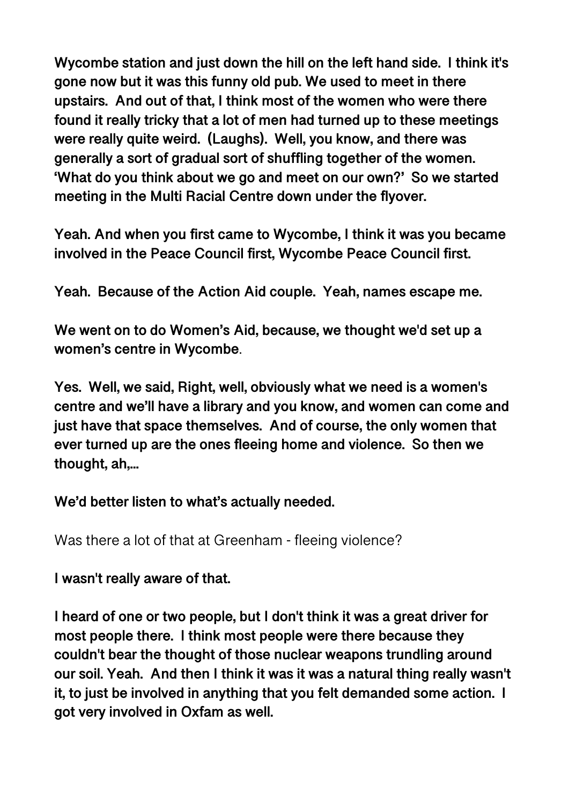**Wycombe station and just down the hill on the left hand side. I think it's gone now but it was this funny old pub. We used to meet in there upstairs. And out of that, I think most of the women who were there found it really tricky that a lot of men had turned up to these meetings were really quite weird. (Laughs). Well, you know, and there was generally a sort of gradual sort of shuffling together of the women. 'What do you think about we go and meet on our own?' So we started meeting in the Multi Racial Centre down under the flyover.** 

**Yeah. And when you first came to Wycombe, I think it was you became involved in the Peace Council first, Wycombe Peace Council first.** 

**Yeah. Because of the Action Aid couple. Yeah, names escape me.** 

**We went on to do Women's Aid, because, we thought we'd set up a women's centre in Wycombe**.

**Yes. Well, we said, Right, well, obviously what we need is a women's centre and we'll have a library and you know, and women can come and just have that space themselves. And of course, the only women that ever turned up are the ones fleeing home and violence. So then we thought, ah,...** 

#### **We'd better listen to what's actually needed.**

Was there a lot of that at Greenham - fleeing violence?

#### **I wasn't really aware of that.**

**I heard of one or two people, but I don't think it was a great driver for most people there. I think most people were there because they couldn't bear the thought of those nuclear weapons trundling around our soil. Yeah. And then I think it was it was a natural thing really wasn't it, to just be involved in anything that you felt demanded some action. I got very involved in Oxfam as well.**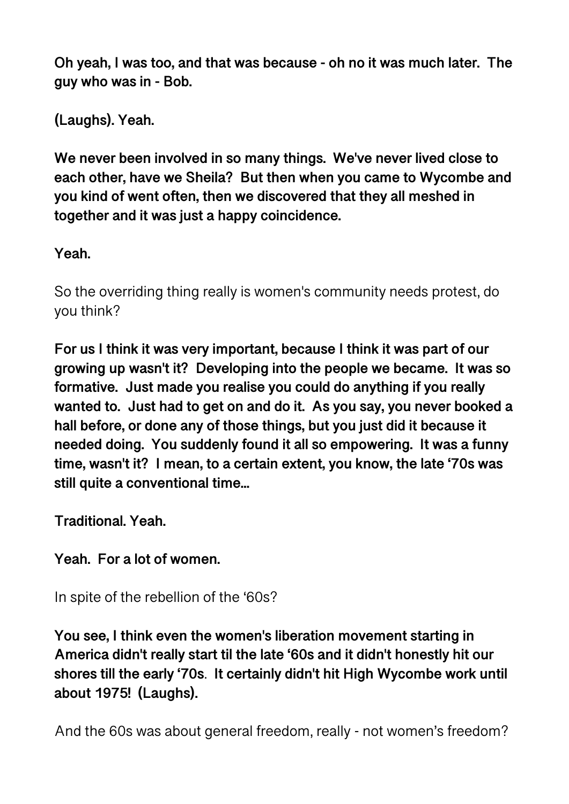**Oh yeah, I was too, and that was because - oh no it was much later. The guy who was in - Bob.** 

**(Laughs). Yeah.** 

**We never been involved in so many things. We've never lived close to each other, have we Sheila? But then when you came to Wycombe and you kind of went often, then we discovered that they all meshed in together and it was just a happy coincidence.** 

**Yeah.** 

So the overriding thing really is women's community needs protest, do you think?

**For us I think it was very important, because I think it was part of our growing up wasn't it? Developing into the people we became. It was so formative. Just made you realise you could do anything if you really wanted to. Just had to get on and do it. As you say, you never booked a hall before, or done any of those things, but you just did it because it needed doing. You suddenly found it all so empowering. It was a funny time, wasn't it? I mean, to a certain extent, you know, the late '70s was still quite a conventional time...** 

**Traditional. Yeah.** 

**Yeah. For a lot of women.** 

In spite of the rebellion of the '60s?

**You see, I think even the women's liberation movement starting in America didn't really start til the late '60s and it didn't honestly hit our shores till the early '70s**. **It certainly didn't hit High Wycombe work until about 1975! (Laughs).** 

And the 60s was about general freedom, really - not women's freedom?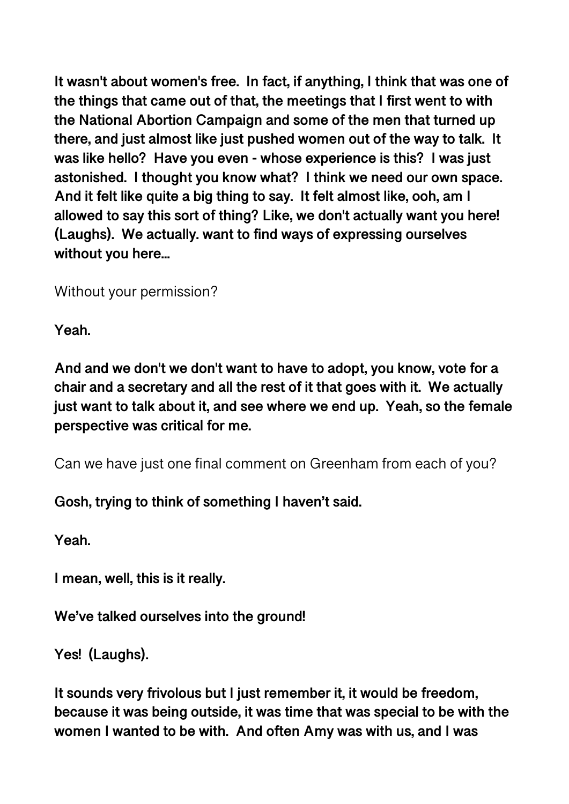**It wasn't about women's free. In fact, if anything, I think that was one of the things that came out of that, the meetings that I first went to with the National Abortion Campaign and some of the men that turned up there, and just almost like just pushed women out of the way to talk. It was like hello? Have you even - whose experience is this? I was just astonished. I thought you know what? I think we need our own space. And it felt like quite a big thing to say. It felt almost like, ooh, am I allowed to say this sort of thing? Like, we don't actually want you here! (Laughs). We actually. want to find ways of expressing ourselves without you here...** 

Without your permission?

**Yeah.** 

**And and we don't we don't want to have to adopt, you know, vote for a chair and a secretary and all the rest of it that goes with it. We actually just want to talk about it, and see where we end up. Yeah, so the female perspective was critical for me.** 

Can we have just one final comment on Greenham from each of you?

**Gosh, trying to think of something I haven't said.** 

**Yeah.** 

**I mean, well, this is it really.** 

**We've talked ourselves into the ground!** 

**Yes! (Laughs).** 

**It sounds very frivolous but I just remember it, it would be freedom, because it was being outside, it was time that was special to be with the women I wanted to be with. And often Amy was with us, and I was**